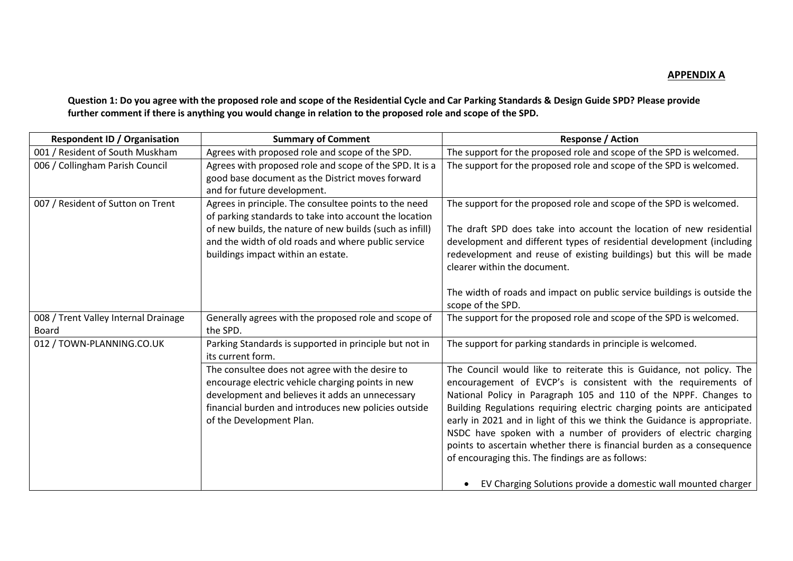**Question 1: Do you agree with the proposed role and scope of the Residential Cycle and Car Parking Standards & Design Guide SPD? Please provide further comment if there is anything you would change in relation to the proposed role and scope of the SPD.**

| <b>Respondent ID / Organisation</b>           | <b>Summary of Comment</b>                                                                                                                                                                                                                                                | <b>Response / Action</b>                                                                                                                                                                                                                                                                                                                                                                                                                                                                                                                                                                                                               |
|-----------------------------------------------|--------------------------------------------------------------------------------------------------------------------------------------------------------------------------------------------------------------------------------------------------------------------------|----------------------------------------------------------------------------------------------------------------------------------------------------------------------------------------------------------------------------------------------------------------------------------------------------------------------------------------------------------------------------------------------------------------------------------------------------------------------------------------------------------------------------------------------------------------------------------------------------------------------------------------|
| 001 / Resident of South Muskham               | Agrees with proposed role and scope of the SPD.                                                                                                                                                                                                                          | The support for the proposed role and scope of the SPD is welcomed.                                                                                                                                                                                                                                                                                                                                                                                                                                                                                                                                                                    |
| 006 / Collingham Parish Council               | Agrees with proposed role and scope of the SPD. It is a<br>good base document as the District moves forward<br>and for future development.                                                                                                                               | The support for the proposed role and scope of the SPD is welcomed.                                                                                                                                                                                                                                                                                                                                                                                                                                                                                                                                                                    |
| 007 / Resident of Sutton on Trent             | Agrees in principle. The consultee points to the need<br>of parking standards to take into account the location<br>of new builds, the nature of new builds (such as infill)<br>and the width of old roads and where public service<br>buildings impact within an estate. | The support for the proposed role and scope of the SPD is welcomed.<br>The draft SPD does take into account the location of new residential<br>development and different types of residential development (including<br>redevelopment and reuse of existing buildings) but this will be made<br>clearer within the document.                                                                                                                                                                                                                                                                                                           |
|                                               |                                                                                                                                                                                                                                                                          | The width of roads and impact on public service buildings is outside the<br>scope of the SPD.                                                                                                                                                                                                                                                                                                                                                                                                                                                                                                                                          |
| 008 / Trent Valley Internal Drainage<br>Board | Generally agrees with the proposed role and scope of<br>the SPD.                                                                                                                                                                                                         | The support for the proposed role and scope of the SPD is welcomed.                                                                                                                                                                                                                                                                                                                                                                                                                                                                                                                                                                    |
| 012 / TOWN-PLANNING.CO.UK                     | Parking Standards is supported in principle but not in<br>its current form.                                                                                                                                                                                              | The support for parking standards in principle is welcomed.                                                                                                                                                                                                                                                                                                                                                                                                                                                                                                                                                                            |
|                                               | The consultee does not agree with the desire to<br>encourage electric vehicle charging points in new<br>development and believes it adds an unnecessary<br>financial burden and introduces new policies outside<br>of the Development Plan.                              | The Council would like to reiterate this is Guidance, not policy. The<br>encouragement of EVCP's is consistent with the requirements of<br>National Policy in Paragraph 105 and 110 of the NPPF. Changes to<br>Building Regulations requiring electric charging points are anticipated<br>early in 2021 and in light of this we think the Guidance is appropriate.<br>NSDC have spoken with a number of providers of electric charging<br>points to ascertain whether there is financial burden as a consequence<br>of encouraging this. The findings are as follows:<br>EV Charging Solutions provide a domestic wall mounted charger |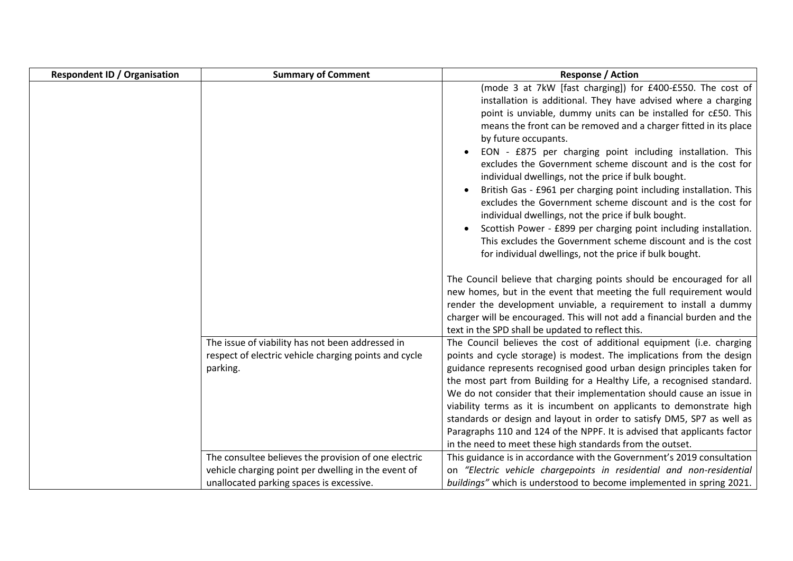| <b>Respondent ID / Organisation</b> | <b>Summary of Comment</b>                                                                                             | <b>Response / Action</b>                                                                                                                                                                                                                                                                                                                                                                                                                                                                                                                                                                                                                                                                                                                                                                                                                                                                                                                                                                                                                                                                                                                                                                                                                     |
|-------------------------------------|-----------------------------------------------------------------------------------------------------------------------|----------------------------------------------------------------------------------------------------------------------------------------------------------------------------------------------------------------------------------------------------------------------------------------------------------------------------------------------------------------------------------------------------------------------------------------------------------------------------------------------------------------------------------------------------------------------------------------------------------------------------------------------------------------------------------------------------------------------------------------------------------------------------------------------------------------------------------------------------------------------------------------------------------------------------------------------------------------------------------------------------------------------------------------------------------------------------------------------------------------------------------------------------------------------------------------------------------------------------------------------|
|                                     |                                                                                                                       | (mode 3 at 7kW [fast charging]) for £400-£550. The cost of<br>installation is additional. They have advised where a charging<br>point is unviable, dummy units can be installed for c£50. This<br>means the front can be removed and a charger fitted in its place<br>by future occupants.<br>EON - £875 per charging point including installation. This<br>excludes the Government scheme discount and is the cost for<br>individual dwellings, not the price if bulk bought.<br>British Gas - £961 per charging point including installation. This<br>excludes the Government scheme discount and is the cost for<br>individual dwellings, not the price if bulk bought.<br>Scottish Power - £899 per charging point including installation.<br>$\bullet$<br>This excludes the Government scheme discount and is the cost<br>for individual dwellings, not the price if bulk bought.<br>The Council believe that charging points should be encouraged for all<br>new homes, but in the event that meeting the full requirement would<br>render the development unviable, a requirement to install a dummy<br>charger will be encouraged. This will not add a financial burden and the<br>text in the SPD shall be updated to reflect this. |
|                                     | The issue of viability has not been addressed in<br>respect of electric vehicle charging points and cycle<br>parking. | The Council believes the cost of additional equipment (i.e. charging<br>points and cycle storage) is modest. The implications from the design<br>guidance represents recognised good urban design principles taken for<br>the most part from Building for a Healthy Life, a recognised standard.<br>We do not consider that their implementation should cause an issue in<br>viability terms as it is incumbent on applicants to demonstrate high<br>standards or design and layout in order to satisfy DM5, SP7 as well as<br>Paragraphs 110 and 124 of the NPPF. It is advised that applicants factor<br>in the need to meet these high standards from the outset.                                                                                                                                                                                                                                                                                                                                                                                                                                                                                                                                                                         |
|                                     | The consultee believes the provision of one electric                                                                  | This guidance is in accordance with the Government's 2019 consultation                                                                                                                                                                                                                                                                                                                                                                                                                                                                                                                                                                                                                                                                                                                                                                                                                                                                                                                                                                                                                                                                                                                                                                       |
|                                     | vehicle charging point per dwelling in the event of                                                                   | on "Electric vehicle chargepoints in residential and non-residential<br>buildings" which is understood to become implemented in spring 2021.                                                                                                                                                                                                                                                                                                                                                                                                                                                                                                                                                                                                                                                                                                                                                                                                                                                                                                                                                                                                                                                                                                 |
|                                     | unallocated parking spaces is excessive.                                                                              |                                                                                                                                                                                                                                                                                                                                                                                                                                                                                                                                                                                                                                                                                                                                                                                                                                                                                                                                                                                                                                                                                                                                                                                                                                              |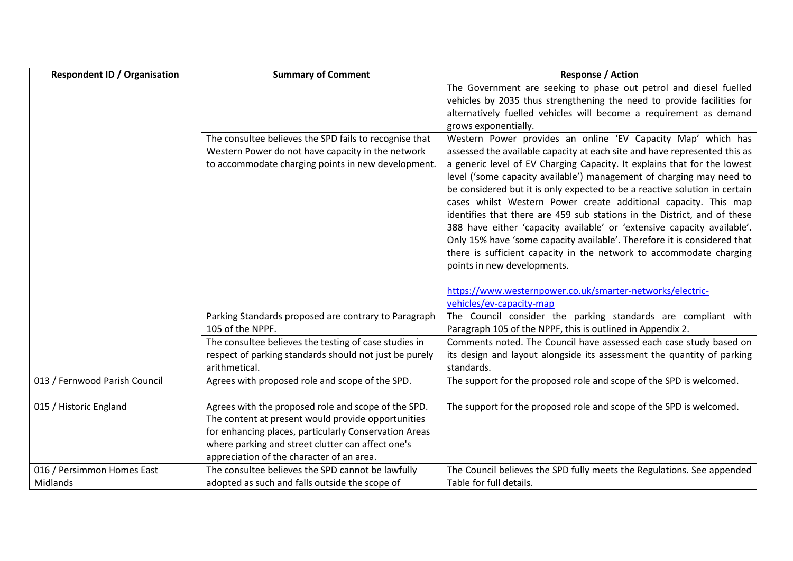| <b>Respondent ID / Organisation</b>    | <b>Summary of Comment</b>                                                                                                                                                                                                                                            | <b>Response / Action</b>                                                                                                                                                                                                                                                                                                                                                                                                                                                                                                                                                                                                                                                                                                                                                                |
|----------------------------------------|----------------------------------------------------------------------------------------------------------------------------------------------------------------------------------------------------------------------------------------------------------------------|-----------------------------------------------------------------------------------------------------------------------------------------------------------------------------------------------------------------------------------------------------------------------------------------------------------------------------------------------------------------------------------------------------------------------------------------------------------------------------------------------------------------------------------------------------------------------------------------------------------------------------------------------------------------------------------------------------------------------------------------------------------------------------------------|
|                                        |                                                                                                                                                                                                                                                                      | The Government are seeking to phase out petrol and diesel fuelled<br>vehicles by 2035 thus strengthening the need to provide facilities for<br>alternatively fuelled vehicles will become a requirement as demand<br>grows exponentially.                                                                                                                                                                                                                                                                                                                                                                                                                                                                                                                                               |
|                                        | The consultee believes the SPD fails to recognise that<br>Western Power do not have capacity in the network<br>to accommodate charging points in new development.                                                                                                    | Western Power provides an online 'EV Capacity Map' which has<br>assessed the available capacity at each site and have represented this as<br>a generic level of EV Charging Capacity. It explains that for the lowest<br>level ('some capacity available') management of charging may need to<br>be considered but it is only expected to be a reactive solution in certain<br>cases whilst Western Power create additional capacity. This map<br>identifies that there are 459 sub stations in the District, and of these<br>388 have either 'capacity available' or 'extensive capacity available'.<br>Only 15% have 'some capacity available'. Therefore it is considered that<br>there is sufficient capacity in the network to accommodate charging<br>points in new developments. |
|                                        |                                                                                                                                                                                                                                                                      | https://www.westernpower.co.uk/smarter-networks/electric-<br>vehicles/ev-capacity-map                                                                                                                                                                                                                                                                                                                                                                                                                                                                                                                                                                                                                                                                                                   |
|                                        | Parking Standards proposed are contrary to Paragraph<br>105 of the NPPF.                                                                                                                                                                                             | The Council consider the parking standards are compliant with<br>Paragraph 105 of the NPPF, this is outlined in Appendix 2.                                                                                                                                                                                                                                                                                                                                                                                                                                                                                                                                                                                                                                                             |
|                                        | The consultee believes the testing of case studies in<br>respect of parking standards should not just be purely<br>arithmetical.                                                                                                                                     | Comments noted. The Council have assessed each case study based on<br>its design and layout alongside its assessment the quantity of parking<br>standards.                                                                                                                                                                                                                                                                                                                                                                                                                                                                                                                                                                                                                              |
| 013 / Fernwood Parish Council          | Agrees with proposed role and scope of the SPD.                                                                                                                                                                                                                      | The support for the proposed role and scope of the SPD is welcomed.                                                                                                                                                                                                                                                                                                                                                                                                                                                                                                                                                                                                                                                                                                                     |
| 015 / Historic England                 | Agrees with the proposed role and scope of the SPD.<br>The content at present would provide opportunities<br>for enhancing places, particularly Conservation Areas<br>where parking and street clutter can affect one's<br>appreciation of the character of an area. | The support for the proposed role and scope of the SPD is welcomed.                                                                                                                                                                                                                                                                                                                                                                                                                                                                                                                                                                                                                                                                                                                     |
| 016 / Persimmon Homes East<br>Midlands | The consultee believes the SPD cannot be lawfully<br>adopted as such and falls outside the scope of                                                                                                                                                                  | The Council believes the SPD fully meets the Regulations. See appended<br>Table for full details.                                                                                                                                                                                                                                                                                                                                                                                                                                                                                                                                                                                                                                                                                       |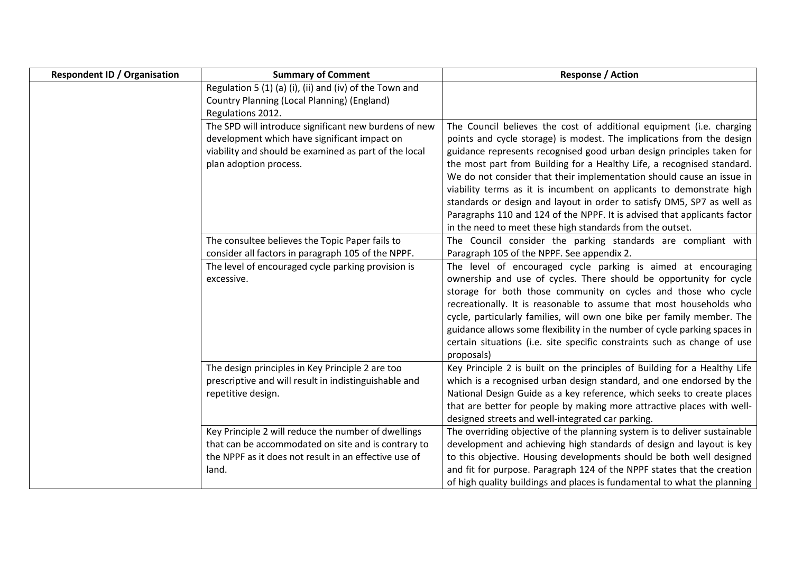| <b>Respondent ID / Organisation</b> | <b>Summary of Comment</b>                               | <b>Response / Action</b>                                                               |
|-------------------------------------|---------------------------------------------------------|----------------------------------------------------------------------------------------|
|                                     | Regulation 5 (1) (a) (i), (ii) and (iv) of the Town and |                                                                                        |
|                                     | Country Planning (Local Planning) (England)             |                                                                                        |
|                                     | Regulations 2012.                                       |                                                                                        |
|                                     | The SPD will introduce significant new burdens of new   | The Council believes the cost of additional equipment (i.e. charging                   |
|                                     | development which have significant impact on            | points and cycle storage) is modest. The implications from the design                  |
|                                     | viability and should be examined as part of the local   | guidance represents recognised good urban design principles taken for                  |
|                                     | plan adoption process.                                  | the most part from Building for a Healthy Life, a recognised standard.                 |
|                                     |                                                         | We do not consider that their implementation should cause an issue in                  |
|                                     |                                                         | viability terms as it is incumbent on applicants to demonstrate high                   |
|                                     |                                                         | standards or design and layout in order to satisfy DM5, SP7 as well as                 |
|                                     |                                                         | Paragraphs 110 and 124 of the NPPF. It is advised that applicants factor               |
|                                     |                                                         | in the need to meet these high standards from the outset.                              |
|                                     | The consultee believes the Topic Paper fails to         | The Council consider the parking standards are compliant with                          |
|                                     | consider all factors in paragraph 105 of the NPPF.      | Paragraph 105 of the NPPF. See appendix 2.                                             |
|                                     | The level of encouraged cycle parking provision is      | The level of encouraged cycle parking is aimed at encouraging                          |
|                                     | excessive.                                              | ownership and use of cycles. There should be opportunity for cycle                     |
|                                     |                                                         | storage for both those community on cycles and those who cycle                         |
|                                     |                                                         | recreationally. It is reasonable to assume that most households who                    |
|                                     |                                                         | cycle, particularly families, will own one bike per family member. The                 |
|                                     |                                                         | guidance allows some flexibility in the number of cycle parking spaces in              |
|                                     |                                                         | certain situations (i.e. site specific constraints such as change of use<br>proposals) |
|                                     | The design principles in Key Principle 2 are too        | Key Principle 2 is built on the principles of Building for a Healthy Life              |
|                                     | prescriptive and will result in indistinguishable and   | which is a recognised urban design standard, and one endorsed by the                   |
|                                     | repetitive design.                                      | National Design Guide as a key reference, which seeks to create places                 |
|                                     |                                                         | that are better for people by making more attractive places with well-                 |
|                                     |                                                         | designed streets and well-integrated car parking.                                      |
|                                     | Key Principle 2 will reduce the number of dwellings     | The overriding objective of the planning system is to deliver sustainable              |
|                                     | that can be accommodated on site and is contrary to     | development and achieving high standards of design and layout is key                   |
|                                     | the NPPF as it does not result in an effective use of   | to this objective. Housing developments should be both well designed                   |
|                                     | land.                                                   | and fit for purpose. Paragraph 124 of the NPPF states that the creation                |
|                                     |                                                         | of high quality buildings and places is fundamental to what the planning               |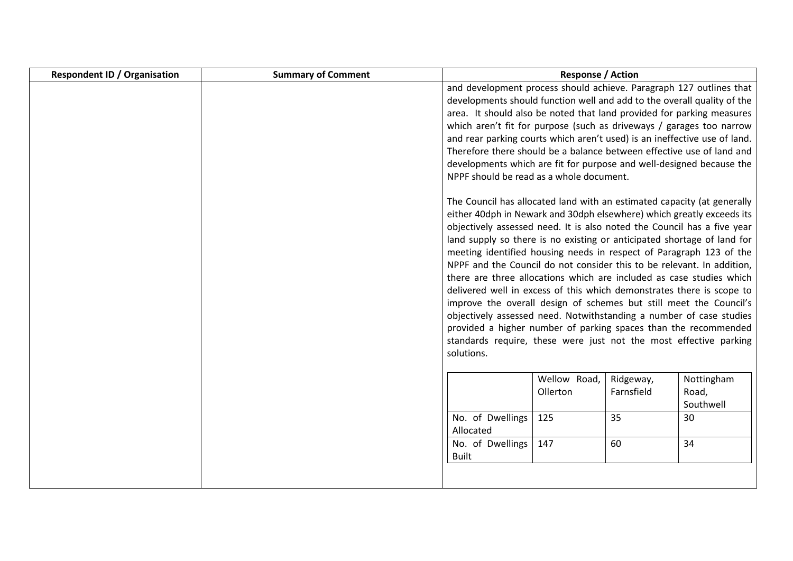| <b>Respondent ID / Organisation</b> | <b>Summary of Comment</b> |                                                                           | <b>Response / Action</b> |            |            |
|-------------------------------------|---------------------------|---------------------------------------------------------------------------|--------------------------|------------|------------|
|                                     |                           | and development process should achieve. Paragraph 127 outlines that       |                          |            |            |
|                                     |                           | developments should function well and add to the overall quality of the   |                          |            |            |
|                                     |                           | area. It should also be noted that land provided for parking measures     |                          |            |            |
|                                     |                           | which aren't fit for purpose (such as driveways / garages too narrow      |                          |            |            |
|                                     |                           | and rear parking courts which aren't used) is an ineffective use of land. |                          |            |            |
|                                     |                           | Therefore there should be a balance between effective use of land and     |                          |            |            |
|                                     |                           | developments which are fit for purpose and well-designed because the      |                          |            |            |
|                                     |                           | NPPF should be read as a whole document.                                  |                          |            |            |
|                                     |                           | The Council has allocated land with an estimated capacity (at generally   |                          |            |            |
|                                     |                           | either 40dph in Newark and 30dph elsewhere) which greatly exceeds its     |                          |            |            |
|                                     |                           | objectively assessed need. It is also noted the Council has a five year   |                          |            |            |
|                                     |                           | land supply so there is no existing or anticipated shortage of land for   |                          |            |            |
|                                     |                           | meeting identified housing needs in respect of Paragraph 123 of the       |                          |            |            |
|                                     |                           | NPPF and the Council do not consider this to be relevant. In addition,    |                          |            |            |
|                                     |                           | there are three allocations which are included as case studies which      |                          |            |            |
|                                     |                           | delivered well in excess of this which demonstrates there is scope to     |                          |            |            |
|                                     |                           | improve the overall design of schemes but still meet the Council's        |                          |            |            |
|                                     |                           | objectively assessed need. Notwithstanding a number of case studies       |                          |            |            |
|                                     |                           | provided a higher number of parking spaces than the recommended           |                          |            |            |
|                                     |                           | standards require, these were just not the most effective parking         |                          |            |            |
|                                     |                           | solutions.                                                                |                          |            |            |
|                                     |                           |                                                                           | Wellow Road,             | Ridgeway,  | Nottingham |
|                                     |                           |                                                                           | Ollerton                 | Farnsfield | Road,      |
|                                     |                           |                                                                           |                          |            | Southwell  |
|                                     |                           | No. of Dwellings                                                          | 125                      | 35         | 30         |
|                                     |                           | Allocated                                                                 |                          |            |            |
|                                     |                           | No. of Dwellings                                                          | 147                      | 60         | 34         |
|                                     |                           | <b>Built</b>                                                              |                          |            |            |
|                                     |                           |                                                                           |                          |            |            |
|                                     |                           |                                                                           |                          |            |            |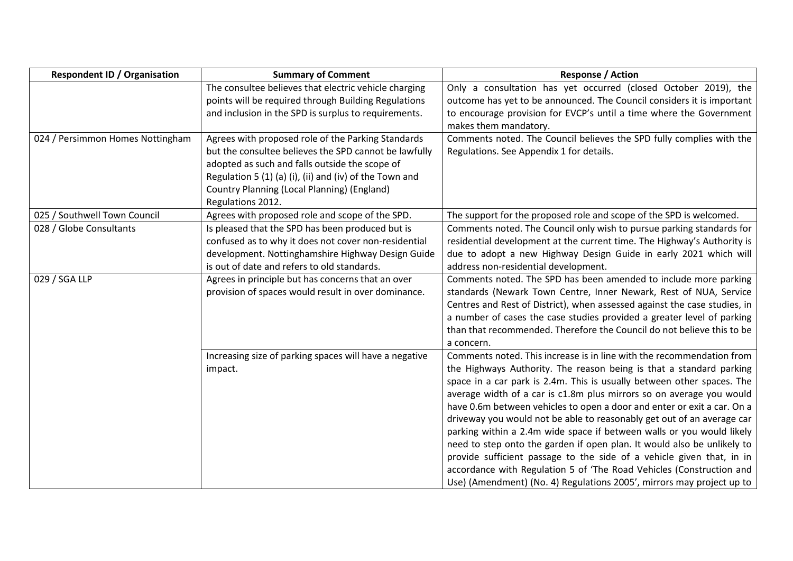| <b>Respondent ID / Organisation</b> | <b>Summary of Comment</b>                                                                                                                                                                                                                                                                    | <b>Response / Action</b>                                                                                                                                                                                                                                                                                                                                                                                                                                                                                                                                                                                                                                                                                                                                                                                                          |
|-------------------------------------|----------------------------------------------------------------------------------------------------------------------------------------------------------------------------------------------------------------------------------------------------------------------------------------------|-----------------------------------------------------------------------------------------------------------------------------------------------------------------------------------------------------------------------------------------------------------------------------------------------------------------------------------------------------------------------------------------------------------------------------------------------------------------------------------------------------------------------------------------------------------------------------------------------------------------------------------------------------------------------------------------------------------------------------------------------------------------------------------------------------------------------------------|
|                                     | The consultee believes that electric vehicle charging<br>points will be required through Building Regulations<br>and inclusion in the SPD is surplus to requirements.                                                                                                                        | Only a consultation has yet occurred (closed October 2019), the<br>outcome has yet to be announced. The Council considers it is important<br>to encourage provision for EVCP's until a time where the Government<br>makes them mandatory.                                                                                                                                                                                                                                                                                                                                                                                                                                                                                                                                                                                         |
| 024 / Persimmon Homes Nottingham    | Agrees with proposed role of the Parking Standards<br>but the consultee believes the SPD cannot be lawfully<br>adopted as such and falls outside the scope of<br>Regulation 5 (1) (a) (i), (ii) and (iv) of the Town and<br>Country Planning (Local Planning) (England)<br>Regulations 2012. | Comments noted. The Council believes the SPD fully complies with the<br>Regulations. See Appendix 1 for details.                                                                                                                                                                                                                                                                                                                                                                                                                                                                                                                                                                                                                                                                                                                  |
| 025 / Southwell Town Council        | Agrees with proposed role and scope of the SPD.                                                                                                                                                                                                                                              | The support for the proposed role and scope of the SPD is welcomed.                                                                                                                                                                                                                                                                                                                                                                                                                                                                                                                                                                                                                                                                                                                                                               |
| 028 / Globe Consultants             | Is pleased that the SPD has been produced but is<br>confused as to why it does not cover non-residential<br>development. Nottinghamshire Highway Design Guide<br>is out of date and refers to old standards.                                                                                 | Comments noted. The Council only wish to pursue parking standards for<br>residential development at the current time. The Highway's Authority is<br>due to adopt a new Highway Design Guide in early 2021 which will<br>address non-residential development.                                                                                                                                                                                                                                                                                                                                                                                                                                                                                                                                                                      |
| 029 / SGA LLP                       | Agrees in principle but has concerns that an over<br>provision of spaces would result in over dominance.                                                                                                                                                                                     | Comments noted. The SPD has been amended to include more parking<br>standards (Newark Town Centre, Inner Newark, Rest of NUA, Service<br>Centres and Rest of District), when assessed against the case studies, in<br>a number of cases the case studies provided a greater level of parking<br>than that recommended. Therefore the Council do not believe this to be<br>a concern.                                                                                                                                                                                                                                                                                                                                                                                                                                              |
|                                     | Increasing size of parking spaces will have a negative<br>impact.                                                                                                                                                                                                                            | Comments noted. This increase is in line with the recommendation from<br>the Highways Authority. The reason being is that a standard parking<br>space in a car park is 2.4m. This is usually between other spaces. The<br>average width of a car is c1.8m plus mirrors so on average you would<br>have 0.6m between vehicles to open a door and enter or exit a car. On a<br>driveway you would not be able to reasonably get out of an average car<br>parking within a 2.4m wide space if between walls or you would likely<br>need to step onto the garden if open plan. It would also be unlikely to<br>provide sufficient passage to the side of a vehicle given that, in in<br>accordance with Regulation 5 of 'The Road Vehicles (Construction and<br>Use) (Amendment) (No. 4) Regulations 2005', mirrors may project up to |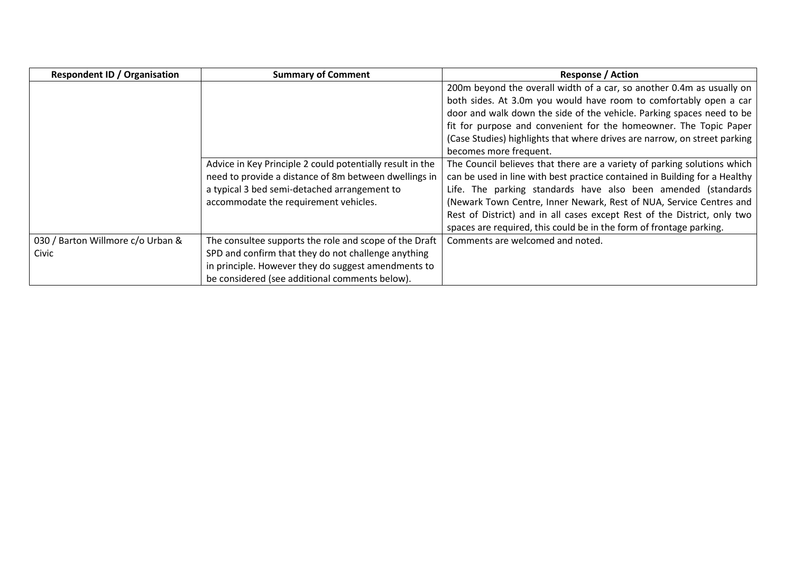| <b>Respondent ID / Organisation</b> | <b>Summary of Comment</b>                                                                                                                                                                                   | <b>Response / Action</b>                                                                                                                                                                                                                                                                                                                                                                                                                          |
|-------------------------------------|-------------------------------------------------------------------------------------------------------------------------------------------------------------------------------------------------------------|---------------------------------------------------------------------------------------------------------------------------------------------------------------------------------------------------------------------------------------------------------------------------------------------------------------------------------------------------------------------------------------------------------------------------------------------------|
|                                     |                                                                                                                                                                                                             | 200m beyond the overall width of a car, so another 0.4m as usually on<br>both sides. At 3.0m you would have room to comfortably open a car<br>door and walk down the side of the vehicle. Parking spaces need to be<br>fit for purpose and convenient for the homeowner. The Topic Paper<br>(Case Studies) highlights that where drives are narrow, on street parking<br>becomes more frequent.                                                   |
|                                     | Advice in Key Principle 2 could potentially result in the<br>need to provide a distance of 8m between dwellings in<br>a typical 3 bed semi-detached arrangement to<br>accommodate the requirement vehicles. | The Council believes that there are a variety of parking solutions which<br>can be used in line with best practice contained in Building for a Healthy<br>Life. The parking standards have also been amended (standards<br>(Newark Town Centre, Inner Newark, Rest of NUA, Service Centres and<br>Rest of District) and in all cases except Rest of the District, only two<br>spaces are required, this could be in the form of frontage parking. |
| 030 / Barton Willmore c/o Urban &   | The consultee supports the role and scope of the Draft                                                                                                                                                      | Comments are welcomed and noted.                                                                                                                                                                                                                                                                                                                                                                                                                  |
| Civic                               | SPD and confirm that they do not challenge anything                                                                                                                                                         |                                                                                                                                                                                                                                                                                                                                                                                                                                                   |
|                                     | in principle. However they do suggest amendments to                                                                                                                                                         |                                                                                                                                                                                                                                                                                                                                                                                                                                                   |
|                                     | be considered (see additional comments below).                                                                                                                                                              |                                                                                                                                                                                                                                                                                                                                                                                                                                                   |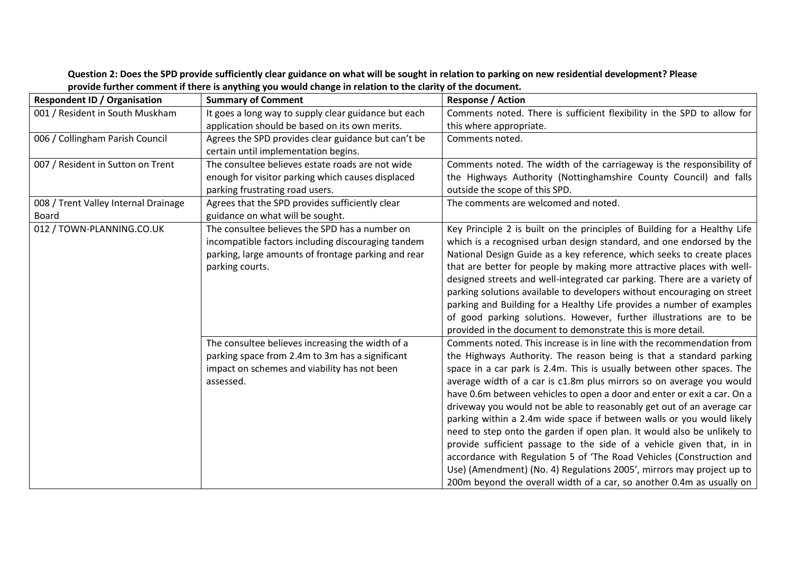| <b>Respondent ID / Organisation</b>  | <b>Summary of Comment</b>                                                                                                                                                      | <b>Response / Action</b>                                                                                                                                                                                                                                                                                                                                                                                                                                                                                                                                                                                                                                                                                                                                                                                                                                                                                   |
|--------------------------------------|--------------------------------------------------------------------------------------------------------------------------------------------------------------------------------|------------------------------------------------------------------------------------------------------------------------------------------------------------------------------------------------------------------------------------------------------------------------------------------------------------------------------------------------------------------------------------------------------------------------------------------------------------------------------------------------------------------------------------------------------------------------------------------------------------------------------------------------------------------------------------------------------------------------------------------------------------------------------------------------------------------------------------------------------------------------------------------------------------|
| 001 / Resident in South Muskham      | It goes a long way to supply clear guidance but each                                                                                                                           | Comments noted. There is sufficient flexibility in the SPD to allow for                                                                                                                                                                                                                                                                                                                                                                                                                                                                                                                                                                                                                                                                                                                                                                                                                                    |
|                                      | application should be based on its own merits.                                                                                                                                 | this where appropriate.                                                                                                                                                                                                                                                                                                                                                                                                                                                                                                                                                                                                                                                                                                                                                                                                                                                                                    |
| 006 / Collingham Parish Council      | Agrees the SPD provides clear guidance but can't be                                                                                                                            | Comments noted.                                                                                                                                                                                                                                                                                                                                                                                                                                                                                                                                                                                                                                                                                                                                                                                                                                                                                            |
|                                      | certain until implementation begins.                                                                                                                                           |                                                                                                                                                                                                                                                                                                                                                                                                                                                                                                                                                                                                                                                                                                                                                                                                                                                                                                            |
| 007 / Resident in Sutton on Trent    | The consultee believes estate roads are not wide                                                                                                                               | Comments noted. The width of the carriageway is the responsibility of                                                                                                                                                                                                                                                                                                                                                                                                                                                                                                                                                                                                                                                                                                                                                                                                                                      |
|                                      | enough for visitor parking which causes displaced                                                                                                                              | the Highways Authority (Nottinghamshire County Council) and falls                                                                                                                                                                                                                                                                                                                                                                                                                                                                                                                                                                                                                                                                                                                                                                                                                                          |
|                                      | parking frustrating road users.                                                                                                                                                | outside the scope of this SPD.                                                                                                                                                                                                                                                                                                                                                                                                                                                                                                                                                                                                                                                                                                                                                                                                                                                                             |
| 008 / Trent Valley Internal Drainage | Agrees that the SPD provides sufficiently clear                                                                                                                                | The comments are welcomed and noted.                                                                                                                                                                                                                                                                                                                                                                                                                                                                                                                                                                                                                                                                                                                                                                                                                                                                       |
| Board                                | guidance on what will be sought.                                                                                                                                               |                                                                                                                                                                                                                                                                                                                                                                                                                                                                                                                                                                                                                                                                                                                                                                                                                                                                                                            |
| 012 / TOWN-PLANNING.CO.UK            | The consultee believes the SPD has a number on<br>incompatible factors including discouraging tandem<br>parking, large amounts of frontage parking and rear<br>parking courts. | Key Principle 2 is built on the principles of Building for a Healthy Life<br>which is a recognised urban design standard, and one endorsed by the<br>National Design Guide as a key reference, which seeks to create places<br>that are better for people by making more attractive places with well-<br>designed streets and well-integrated car parking. There are a variety of<br>parking solutions available to developers without encouraging on street<br>parking and Building for a Healthy Life provides a number of examples<br>of good parking solutions. However, further illustrations are to be<br>provided in the document to demonstrate this is more detail.                                                                                                                                                                                                                               |
|                                      | The consultee believes increasing the width of a<br>parking space from 2.4m to 3m has a significant<br>impact on schemes and viability has not been<br>assessed.               | Comments noted. This increase is in line with the recommendation from<br>the Highways Authority. The reason being is that a standard parking<br>space in a car park is 2.4m. This is usually between other spaces. The<br>average width of a car is c1.8m plus mirrors so on average you would<br>have 0.6m between vehicles to open a door and enter or exit a car. On a<br>driveway you would not be able to reasonably get out of an average car<br>parking within a 2.4m wide space if between walls or you would likely<br>need to step onto the garden if open plan. It would also be unlikely to<br>provide sufficient passage to the side of a vehicle given that, in in<br>accordance with Regulation 5 of 'The Road Vehicles (Construction and<br>Use) (Amendment) (No. 4) Regulations 2005', mirrors may project up to<br>200m beyond the overall width of a car, so another 0.4m as usually on |

## **Question 2: Does the SPD provide sufficiently clear guidance on what will be sought in relation to parking on new residential development? Please provide further comment if there is anything you would change in relation to the clarity of the document.**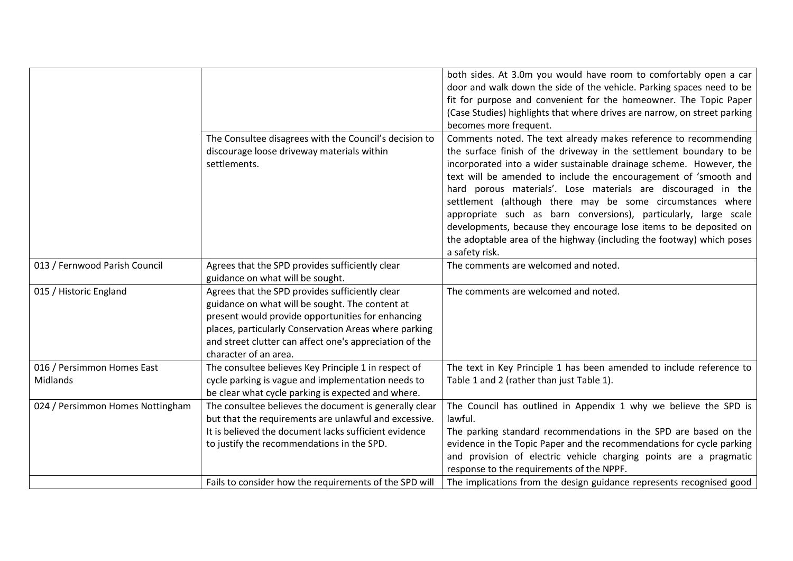|                                        |                                                                                                                                                                                                                                                                                                      | both sides. At 3.0m you would have room to comfortably open a car<br>door and walk down the side of the vehicle. Parking spaces need to be<br>fit for purpose and convenient for the homeowner. The Topic Paper<br>(Case Studies) highlights that where drives are narrow, on street parking<br>becomes more frequent.                                                                                                                                                                                                                                                                                                                                 |
|----------------------------------------|------------------------------------------------------------------------------------------------------------------------------------------------------------------------------------------------------------------------------------------------------------------------------------------------------|--------------------------------------------------------------------------------------------------------------------------------------------------------------------------------------------------------------------------------------------------------------------------------------------------------------------------------------------------------------------------------------------------------------------------------------------------------------------------------------------------------------------------------------------------------------------------------------------------------------------------------------------------------|
|                                        | The Consultee disagrees with the Council's decision to<br>discourage loose driveway materials within<br>settlements.                                                                                                                                                                                 | Comments noted. The text already makes reference to recommending<br>the surface finish of the driveway in the settlement boundary to be<br>incorporated into a wider sustainable drainage scheme. However, the<br>text will be amended to include the encouragement of 'smooth and<br>hard porous materials'. Lose materials are discouraged in the<br>settlement (although there may be some circumstances where<br>appropriate such as barn conversions), particularly, large scale<br>developments, because they encourage lose items to be deposited on<br>the adoptable area of the highway (including the footway) which poses<br>a safety risk. |
| 013 / Fernwood Parish Council          | Agrees that the SPD provides sufficiently clear<br>guidance on what will be sought.                                                                                                                                                                                                                  | The comments are welcomed and noted.                                                                                                                                                                                                                                                                                                                                                                                                                                                                                                                                                                                                                   |
| 015 / Historic England                 | Agrees that the SPD provides sufficiently clear<br>guidance on what will be sought. The content at<br>present would provide opportunities for enhancing<br>places, particularly Conservation Areas where parking<br>and street clutter can affect one's appreciation of the<br>character of an area. | The comments are welcomed and noted.                                                                                                                                                                                                                                                                                                                                                                                                                                                                                                                                                                                                                   |
| 016 / Persimmon Homes East<br>Midlands | The consultee believes Key Principle 1 in respect of<br>cycle parking is vague and implementation needs to<br>be clear what cycle parking is expected and where.                                                                                                                                     | The text in Key Principle 1 has been amended to include reference to<br>Table 1 and 2 (rather than just Table 1).                                                                                                                                                                                                                                                                                                                                                                                                                                                                                                                                      |
| 024 / Persimmon Homes Nottingham       | The consultee believes the document is generally clear<br>but that the requirements are unlawful and excessive.<br>It is believed the document lacks sufficient evidence<br>to justify the recommendations in the SPD.                                                                               | The Council has outlined in Appendix 1 why we believe the SPD is<br>lawful.<br>The parking standard recommendations in the SPD are based on the<br>evidence in the Topic Paper and the recommendations for cycle parking<br>and provision of electric vehicle charging points are a pragmatic<br>response to the requirements of the NPPF.                                                                                                                                                                                                                                                                                                             |
|                                        | Fails to consider how the requirements of the SPD will                                                                                                                                                                                                                                               | The implications from the design guidance represents recognised good                                                                                                                                                                                                                                                                                                                                                                                                                                                                                                                                                                                   |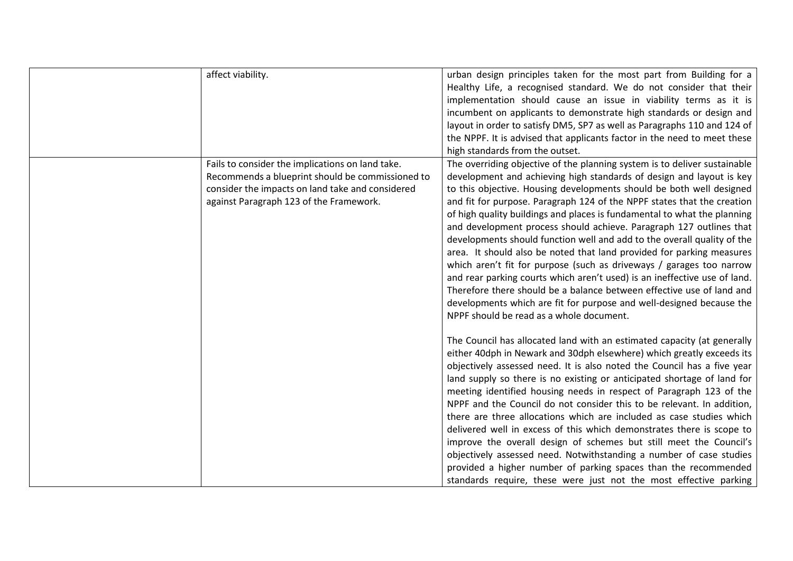|  | affect viability.                                                                                                                                                                                   | urban design principles taken for the most part from Building for a<br>Healthy Life, a recognised standard. We do not consider that their<br>implementation should cause an issue in viability terms as it is<br>incumbent on applicants to demonstrate high standards or design and<br>layout in order to satisfy DM5, SP7 as well as Paragraphs 110 and 124 of<br>the NPPF. It is advised that applicants factor in the need to meet these<br>high standards from the outset.                                                                                                                                                                                                                                                                                                                                                                                                                                                                               |
|--|-----------------------------------------------------------------------------------------------------------------------------------------------------------------------------------------------------|---------------------------------------------------------------------------------------------------------------------------------------------------------------------------------------------------------------------------------------------------------------------------------------------------------------------------------------------------------------------------------------------------------------------------------------------------------------------------------------------------------------------------------------------------------------------------------------------------------------------------------------------------------------------------------------------------------------------------------------------------------------------------------------------------------------------------------------------------------------------------------------------------------------------------------------------------------------|
|  | Fails to consider the implications on land take.<br>Recommends a blueprint should be commissioned to<br>consider the impacts on land take and considered<br>against Paragraph 123 of the Framework. | The overriding objective of the planning system is to deliver sustainable<br>development and achieving high standards of design and layout is key<br>to this objective. Housing developments should be both well designed<br>and fit for purpose. Paragraph 124 of the NPPF states that the creation<br>of high quality buildings and places is fundamental to what the planning<br>and development process should achieve. Paragraph 127 outlines that<br>developments should function well and add to the overall quality of the<br>area. It should also be noted that land provided for parking measures<br>which aren't fit for purpose (such as driveways / garages too narrow<br>and rear parking courts which aren't used) is an ineffective use of land.<br>Therefore there should be a balance between effective use of land and<br>developments which are fit for purpose and well-designed because the<br>NPPF should be read as a whole document. |
|  |                                                                                                                                                                                                     | The Council has allocated land with an estimated capacity (at generally<br>either 40dph in Newark and 30dph elsewhere) which greatly exceeds its<br>objectively assessed need. It is also noted the Council has a five year<br>land supply so there is no existing or anticipated shortage of land for<br>meeting identified housing needs in respect of Paragraph 123 of the<br>NPPF and the Council do not consider this to be relevant. In addition,<br>there are three allocations which are included as case studies which<br>delivered well in excess of this which demonstrates there is scope to<br>improve the overall design of schemes but still meet the Council's<br>objectively assessed need. Notwithstanding a number of case studies<br>provided a higher number of parking spaces than the recommended<br>standards require, these were just not the most effective parking                                                                 |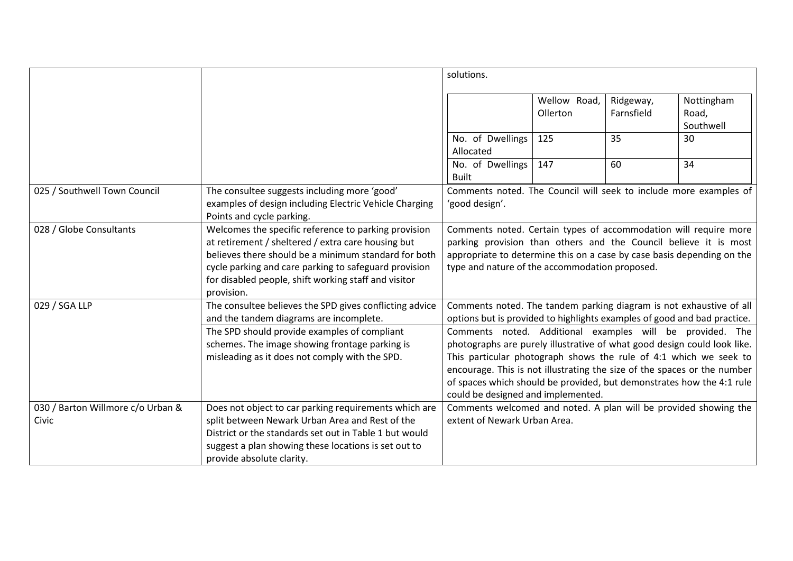|                                            |                                                                                                                                                                                                                                                                                                   | solutions.                                                                                              |                          |                         |                                                                                                                                                                                                                                                                                                                                                                                                                                               |
|--------------------------------------------|---------------------------------------------------------------------------------------------------------------------------------------------------------------------------------------------------------------------------------------------------------------------------------------------------|---------------------------------------------------------------------------------------------------------|--------------------------|-------------------------|-----------------------------------------------------------------------------------------------------------------------------------------------------------------------------------------------------------------------------------------------------------------------------------------------------------------------------------------------------------------------------------------------------------------------------------------------|
|                                            |                                                                                                                                                                                                                                                                                                   |                                                                                                         | Wellow Road,<br>Ollerton | Ridgeway,<br>Farnsfield | Nottingham<br>Road,<br>Southwell                                                                                                                                                                                                                                                                                                                                                                                                              |
|                                            |                                                                                                                                                                                                                                                                                                   | No. of Dwellings<br>Allocated                                                                           | 125                      | 35                      | 30                                                                                                                                                                                                                                                                                                                                                                                                                                            |
|                                            |                                                                                                                                                                                                                                                                                                   | No. of Dwellings<br><b>Built</b>                                                                        | 147                      | 60                      | 34                                                                                                                                                                                                                                                                                                                                                                                                                                            |
| 025 / Southwell Town Council               | The consultee suggests including more 'good'<br>examples of design including Electric Vehicle Charging<br>Points and cycle parking.                                                                                                                                                               | 'good design'.                                                                                          |                          |                         | Comments noted. The Council will seek to include more examples of                                                                                                                                                                                                                                                                                                                                                                             |
| 028 / Globe Consultants                    | Welcomes the specific reference to parking provision<br>at retirement / sheltered / extra care housing but<br>believes there should be a minimum standard for both<br>cycle parking and care parking to safeguard provision<br>for disabled people, shift working staff and visitor<br>provision. | type and nature of the accommodation proposed.                                                          |                          |                         | Comments noted. Certain types of accommodation will require more<br>parking provision than others and the Council believe it is most<br>appropriate to determine this on a case by case basis depending on the                                                                                                                                                                                                                                |
| 029 / SGA LLP                              | The consultee believes the SPD gives conflicting advice<br>and the tandem diagrams are incomplete.<br>The SPD should provide examples of compliant<br>schemes. The image showing frontage parking is<br>misleading as it does not comply with the SPD.                                            | This particular photograph shows the rule of 4:1 which we seek to<br>could be designed and implemented. |                          |                         | Comments noted. The tandem parking diagram is not exhaustive of all<br>options but is provided to highlights examples of good and bad practice.<br>Comments noted. Additional examples will be provided. The<br>photographs are purely illustrative of what good design could look like.<br>encourage. This is not illustrating the size of the spaces or the number<br>of spaces which should be provided, but demonstrates how the 4:1 rule |
| 030 / Barton Willmore c/o Urban &<br>Civic | Does not object to car parking requirements which are<br>split between Newark Urban Area and Rest of the<br>District or the standards set out in Table 1 but would<br>suggest a plan showing these locations is set out to<br>provide absolute clarity.                                           | extent of Newark Urban Area.                                                                            |                          |                         | Comments welcomed and noted. A plan will be provided showing the                                                                                                                                                                                                                                                                                                                                                                              |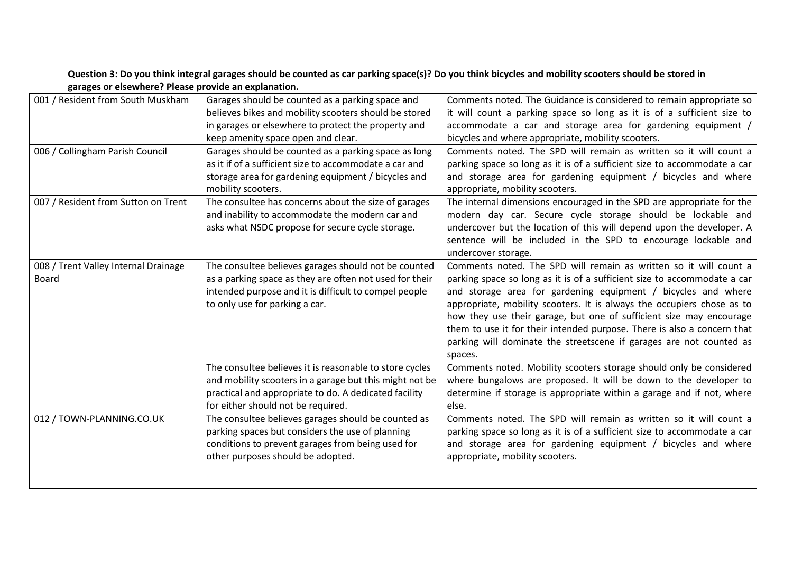| 001 / Resident from South Muskham    | Garages should be counted as a parking space and        | Comments noted. The Guidance is considered to remain appropriate so      |
|--------------------------------------|---------------------------------------------------------|--------------------------------------------------------------------------|
|                                      | believes bikes and mobility scooters should be stored   | it will count a parking space so long as it is of a sufficient size to   |
|                                      | in garages or elsewhere to protect the property and     | accommodate a car and storage area for gardening equipment /             |
|                                      | keep amenity space open and clear.                      | bicycles and where appropriate, mobility scooters.                       |
| 006 / Collingham Parish Council      | Garages should be counted as a parking space as long    | Comments noted. The SPD will remain as written so it will count a        |
|                                      | as it if of a sufficient size to accommodate a car and  | parking space so long as it is of a sufficient size to accommodate a car |
|                                      | storage area for gardening equipment / bicycles and     | and storage area for gardening equipment / bicycles and where            |
|                                      | mobility scooters.                                      | appropriate, mobility scooters.                                          |
| 007 / Resident from Sutton on Trent  | The consultee has concerns about the size of garages    | The internal dimensions encouraged in the SPD are appropriate for the    |
|                                      | and inability to accommodate the modern car and         | modern day car. Secure cycle storage should be lockable and              |
|                                      | asks what NSDC propose for secure cycle storage.        | undercover but the location of this will depend upon the developer. A    |
|                                      |                                                         | sentence will be included in the SPD to encourage lockable and           |
|                                      |                                                         | undercover storage.                                                      |
| 008 / Trent Valley Internal Drainage | The consultee believes garages should not be counted    | Comments noted. The SPD will remain as written so it will count a        |
| Board                                | as a parking space as they are often not used for their | parking space so long as it is of a sufficient size to accommodate a car |
|                                      | intended purpose and it is difficult to compel people   | and storage area for gardening equipment / bicycles and where            |
|                                      | to only use for parking a car.                          | appropriate, mobility scooters. It is always the occupiers chose as to   |
|                                      |                                                         | how they use their garage, but one of sufficient size may encourage      |
|                                      |                                                         | them to use it for their intended purpose. There is also a concern that  |
|                                      |                                                         | parking will dominate the streetscene if garages are not counted as      |
|                                      |                                                         | spaces.                                                                  |
|                                      | The consultee believes it is reasonable to store cycles | Comments noted. Mobility scooters storage should only be considered      |
|                                      | and mobility scooters in a garage but this might not be | where bungalows are proposed. It will be down to the developer to        |
|                                      | practical and appropriate to do. A dedicated facility   | determine if storage is appropriate within a garage and if not, where    |
|                                      | for either should not be required.                      | else.                                                                    |
| 012 / TOWN-PLANNING.CO.UK            | The consultee believes garages should be counted as     | Comments noted. The SPD will remain as written so it will count a        |
|                                      | parking spaces but considers the use of planning        | parking space so long as it is of a sufficient size to accommodate a car |
|                                      | conditions to prevent garages from being used for       | and storage area for gardening equipment / bicycles and where            |
|                                      | other purposes should be adopted.                       | appropriate, mobility scooters.                                          |
|                                      |                                                         |                                                                          |
|                                      |                                                         |                                                                          |

# **Question 3: Do you think integral garages should be counted as car parking space(s)? Do you think bicycles and mobility scooters should be stored in garages or elsewhere? Please provide an explanation.**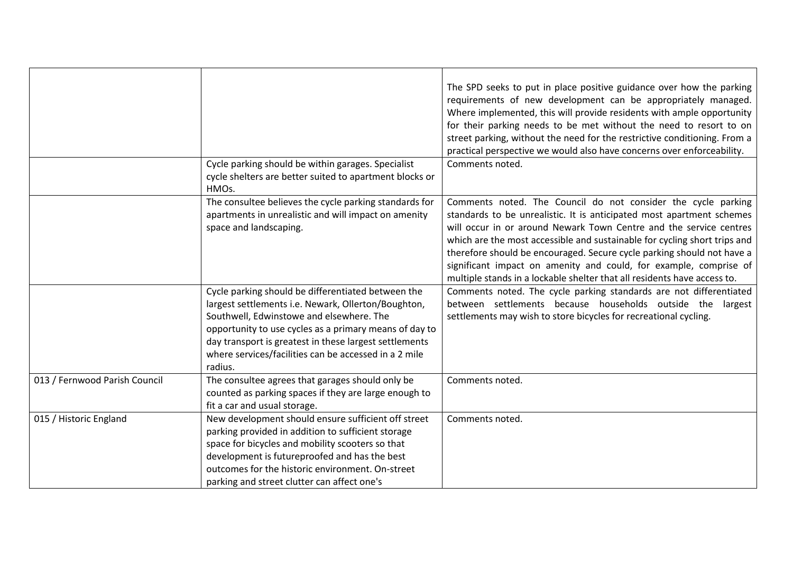|                               |                                                                                                                                          | The SPD seeks to put in place positive guidance over how the parking<br>requirements of new development can be appropriately managed.<br>Where implemented, this will provide residents with ample opportunity<br>for their parking needs to be met without the need to resort to on<br>street parking, without the need for the restrictive conditioning. From a<br>practical perspective we would also have concerns over enforceability.                                                                          |
|-------------------------------|------------------------------------------------------------------------------------------------------------------------------------------|----------------------------------------------------------------------------------------------------------------------------------------------------------------------------------------------------------------------------------------------------------------------------------------------------------------------------------------------------------------------------------------------------------------------------------------------------------------------------------------------------------------------|
|                               | Cycle parking should be within garages. Specialist<br>cycle shelters are better suited to apartment blocks or<br>HMOs.                   | Comments noted.                                                                                                                                                                                                                                                                                                                                                                                                                                                                                                      |
|                               | The consultee believes the cycle parking standards for<br>apartments in unrealistic and will impact on amenity<br>space and landscaping. | Comments noted. The Council do not consider the cycle parking<br>standards to be unrealistic. It is anticipated most apartment schemes<br>will occur in or around Newark Town Centre and the service centres<br>which are the most accessible and sustainable for cycling short trips and<br>therefore should be encouraged. Secure cycle parking should not have a<br>significant impact on amenity and could, for example, comprise of<br>multiple stands in a lockable shelter that all residents have access to. |
|                               | Cycle parking should be differentiated between the                                                                                       | Comments noted. The cycle parking standards are not differentiated                                                                                                                                                                                                                                                                                                                                                                                                                                                   |
|                               | largest settlements i.e. Newark, Ollerton/Boughton,                                                                                      | between settlements because households outside the largest                                                                                                                                                                                                                                                                                                                                                                                                                                                           |
|                               | Southwell, Edwinstowe and elsewhere. The                                                                                                 | settlements may wish to store bicycles for recreational cycling.                                                                                                                                                                                                                                                                                                                                                                                                                                                     |
|                               | opportunity to use cycles as a primary means of day to                                                                                   |                                                                                                                                                                                                                                                                                                                                                                                                                                                                                                                      |
|                               | day transport is greatest in these largest settlements                                                                                   |                                                                                                                                                                                                                                                                                                                                                                                                                                                                                                                      |
|                               | where services/facilities can be accessed in a 2 mile                                                                                    |                                                                                                                                                                                                                                                                                                                                                                                                                                                                                                                      |
|                               | radius.                                                                                                                                  |                                                                                                                                                                                                                                                                                                                                                                                                                                                                                                                      |
| 013 / Fernwood Parish Council | The consultee agrees that garages should only be                                                                                         | Comments noted.                                                                                                                                                                                                                                                                                                                                                                                                                                                                                                      |
|                               | counted as parking spaces if they are large enough to                                                                                    |                                                                                                                                                                                                                                                                                                                                                                                                                                                                                                                      |
|                               | fit a car and usual storage.                                                                                                             |                                                                                                                                                                                                                                                                                                                                                                                                                                                                                                                      |
| 015 / Historic England        | New development should ensure sufficient off street                                                                                      | Comments noted.                                                                                                                                                                                                                                                                                                                                                                                                                                                                                                      |
|                               | parking provided in addition to sufficient storage                                                                                       |                                                                                                                                                                                                                                                                                                                                                                                                                                                                                                                      |
|                               | space for bicycles and mobility scooters so that                                                                                         |                                                                                                                                                                                                                                                                                                                                                                                                                                                                                                                      |
|                               | development is futureproofed and has the best                                                                                            |                                                                                                                                                                                                                                                                                                                                                                                                                                                                                                                      |
|                               | outcomes for the historic environment. On-street                                                                                         |                                                                                                                                                                                                                                                                                                                                                                                                                                                                                                                      |
|                               | parking and street clutter can affect one's                                                                                              |                                                                                                                                                                                                                                                                                                                                                                                                                                                                                                                      |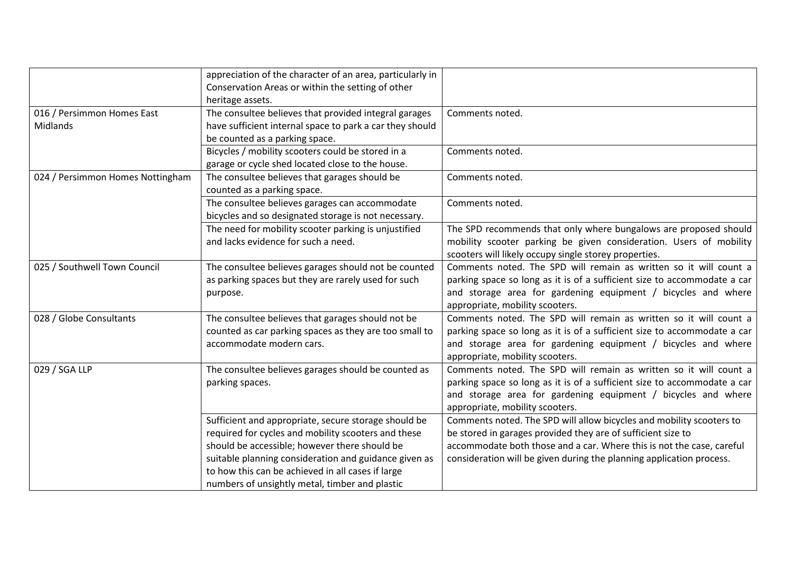|                                        | appreciation of the character of an area, particularly in<br>Conservation Areas or within the setting of other<br>heritage assets.                                                                                                                                                                                           |                                                                                                                                                                                                                                                                                       |
|----------------------------------------|------------------------------------------------------------------------------------------------------------------------------------------------------------------------------------------------------------------------------------------------------------------------------------------------------------------------------|---------------------------------------------------------------------------------------------------------------------------------------------------------------------------------------------------------------------------------------------------------------------------------------|
| 016 / Persimmon Homes East<br>Midlands | The consultee believes that provided integral garages<br>have sufficient internal space to park a car they should<br>be counted as a parking space.                                                                                                                                                                          | Comments noted.                                                                                                                                                                                                                                                                       |
|                                        | Bicycles / mobility scooters could be stored in a<br>garage or cycle shed located close to the house.                                                                                                                                                                                                                        | Comments noted.                                                                                                                                                                                                                                                                       |
| 024 / Persimmon Homes Nottingham       | The consultee believes that garages should be<br>counted as a parking space.                                                                                                                                                                                                                                                 | Comments noted.                                                                                                                                                                                                                                                                       |
|                                        | The consultee believes garages can accommodate<br>bicycles and so designated storage is not necessary.                                                                                                                                                                                                                       | Comments noted.                                                                                                                                                                                                                                                                       |
|                                        | The need for mobility scooter parking is unjustified<br>and lacks evidence for such a need.                                                                                                                                                                                                                                  | The SPD recommends that only where bungalows are proposed should<br>mobility scooter parking be given consideration. Users of mobility<br>scooters will likely occupy single storey properties.                                                                                       |
| 025 / Southwell Town Council           | The consultee believes garages should not be counted<br>as parking spaces but they are rarely used for such<br>purpose.                                                                                                                                                                                                      | Comments noted. The SPD will remain as written so it will count a<br>parking space so long as it is of a sufficient size to accommodate a car<br>and storage area for gardening equipment / bicycles and where<br>appropriate, mobility scooters.                                     |
| 028 / Globe Consultants                | The consultee believes that garages should not be<br>counted as car parking spaces as they are too small to<br>accommodate modern cars.                                                                                                                                                                                      | Comments noted. The SPD will remain as written so it will count a<br>parking space so long as it is of a sufficient size to accommodate a car<br>and storage area for gardening equipment / bicycles and where<br>appropriate, mobility scooters.                                     |
| 029 / SGA LLP                          | The consultee believes garages should be counted as<br>parking spaces.                                                                                                                                                                                                                                                       | Comments noted. The SPD will remain as written so it will count a<br>parking space so long as it is of a sufficient size to accommodate a car<br>and storage area for gardening equipment / bicycles and where<br>appropriate, mobility scooters.                                     |
|                                        | Sufficient and appropriate, secure storage should be<br>required for cycles and mobility scooters and these<br>should be accessible; however there should be<br>suitable planning consideration and guidance given as<br>to how this can be achieved in all cases if large<br>numbers of unsightly metal, timber and plastic | Comments noted. The SPD will allow bicycles and mobility scooters to<br>be stored in garages provided they are of sufficient size to<br>accommodate both those and a car. Where this is not the case, careful<br>consideration will be given during the planning application process. |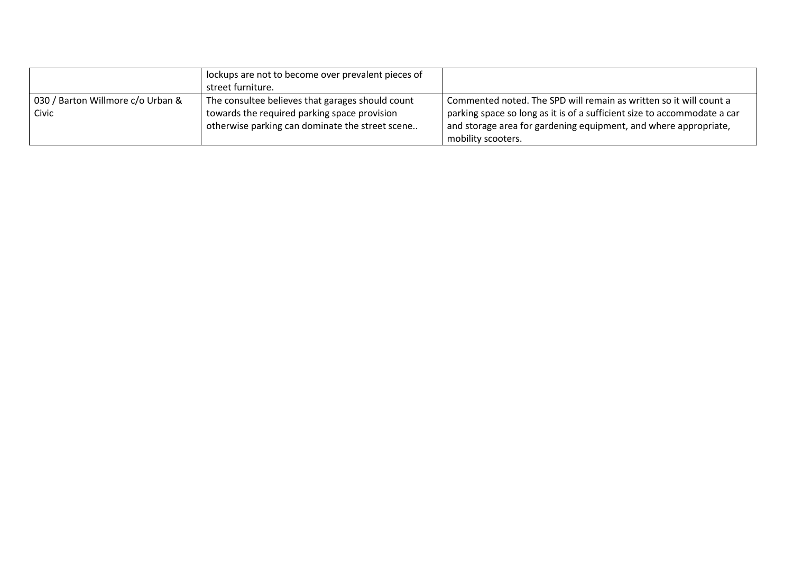|                                   | lockups are not to become over prevalent pieces of |                                                                          |
|-----------------------------------|----------------------------------------------------|--------------------------------------------------------------------------|
|                                   | street furniture.                                  |                                                                          |
| 030 / Barton Willmore c/o Urban & | The consultee believes that garages should count   | Commented noted. The SPD will remain as written so it will count a       |
| Civic                             | towards the required parking space provision       | parking space so long as it is of a sufficient size to accommodate a car |
|                                   | otherwise parking can dominate the street scene    | and storage area for gardening equipment, and where appropriate,         |
|                                   |                                                    | mobility scooters.                                                       |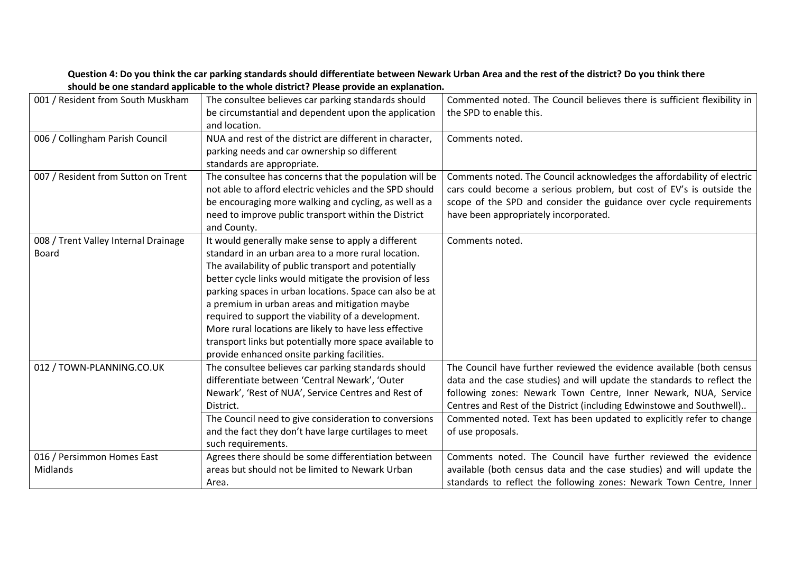| 001 / Resident from South Muskham             | The consultee believes car parking standards should<br>be circumstantial and dependent upon the application<br>and location.                                                                                                                                                                                                                                                                                                                                                                                                                                        | Commented noted. The Council believes there is sufficient flexibility in<br>the SPD to enable this.                                                                                                                                                                                                                                                                                       |
|-----------------------------------------------|---------------------------------------------------------------------------------------------------------------------------------------------------------------------------------------------------------------------------------------------------------------------------------------------------------------------------------------------------------------------------------------------------------------------------------------------------------------------------------------------------------------------------------------------------------------------|-------------------------------------------------------------------------------------------------------------------------------------------------------------------------------------------------------------------------------------------------------------------------------------------------------------------------------------------------------------------------------------------|
| 006 / Collingham Parish Council               | NUA and rest of the district are different in character,<br>parking needs and car ownership so different<br>standards are appropriate.                                                                                                                                                                                                                                                                                                                                                                                                                              | Comments noted.                                                                                                                                                                                                                                                                                                                                                                           |
| 007 / Resident from Sutton on Trent           | The consultee has concerns that the population will be<br>not able to afford electric vehicles and the SPD should<br>be encouraging more walking and cycling, as well as a<br>need to improve public transport within the District<br>and County.                                                                                                                                                                                                                                                                                                                   | Comments noted. The Council acknowledges the affordability of electric<br>cars could become a serious problem, but cost of EV's is outside the<br>scope of the SPD and consider the guidance over cycle requirements<br>have been appropriately incorporated.                                                                                                                             |
| 008 / Trent Valley Internal Drainage<br>Board | It would generally make sense to apply a different<br>standard in an urban area to a more rural location.<br>The availability of public transport and potentially<br>better cycle links would mitigate the provision of less<br>parking spaces in urban locations. Space can also be at<br>a premium in urban areas and mitigation maybe<br>required to support the viability of a development.<br>More rural locations are likely to have less effective<br>transport links but potentially more space available to<br>provide enhanced onsite parking facilities. | Comments noted.                                                                                                                                                                                                                                                                                                                                                                           |
| 012 / TOWN-PLANNING.CO.UK                     | The consultee believes car parking standards should<br>differentiate between 'Central Newark', 'Outer<br>Newark', 'Rest of NUA', Service Centres and Rest of<br>District.<br>The Council need to give consideration to conversions<br>and the fact they don't have large curtilages to meet<br>such requirements.                                                                                                                                                                                                                                                   | The Council have further reviewed the evidence available (both census<br>data and the case studies) and will update the standards to reflect the<br>following zones: Newark Town Centre, Inner Newark, NUA, Service<br>Centres and Rest of the District (including Edwinstowe and Southwell)<br>Commented noted. Text has been updated to explicitly refer to change<br>of use proposals. |
| 016 / Persimmon Homes East<br>Midlands        | Agrees there should be some differentiation between<br>areas but should not be limited to Newark Urban<br>Area.                                                                                                                                                                                                                                                                                                                                                                                                                                                     | Comments noted. The Council have further reviewed the evidence<br>available (both census data and the case studies) and will update the<br>standards to reflect the following zones: Newark Town Centre, Inner                                                                                                                                                                            |

### **Question 4: Do you think the car parking standards should differentiate between Newark Urban Area and the rest of the district? Do you think there should be one standard applicable to the whole district? Please provide an explanation.**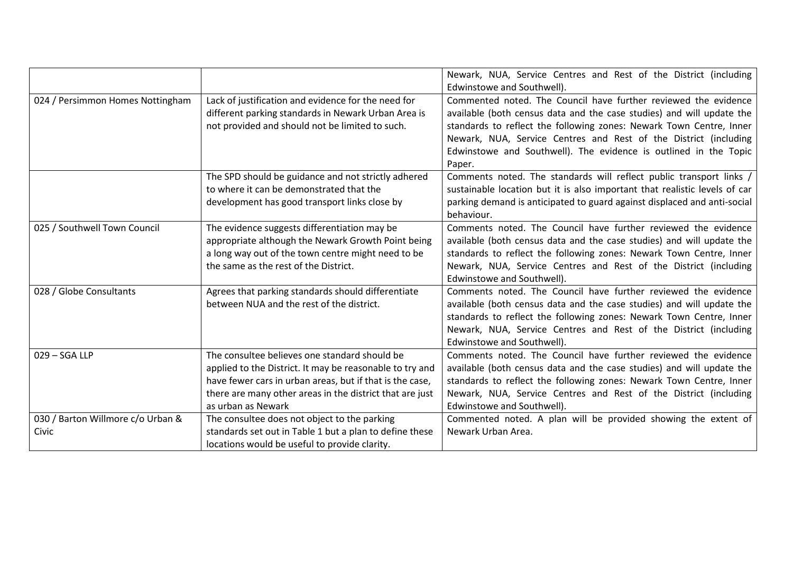|                                            |                                                                                                                                                                                                                                                         | Newark, NUA, Service Centres and Rest of the District (including<br>Edwinstowe and Southwell).                                                                                                                                                                                                                                                                    |
|--------------------------------------------|---------------------------------------------------------------------------------------------------------------------------------------------------------------------------------------------------------------------------------------------------------|-------------------------------------------------------------------------------------------------------------------------------------------------------------------------------------------------------------------------------------------------------------------------------------------------------------------------------------------------------------------|
| 024 / Persimmon Homes Nottingham           | Lack of justification and evidence for the need for<br>different parking standards in Newark Urban Area is<br>not provided and should not be limited to such.                                                                                           | Commented noted. The Council have further reviewed the evidence<br>available (both census data and the case studies) and will update the<br>standards to reflect the following zones: Newark Town Centre, Inner<br>Newark, NUA, Service Centres and Rest of the District (including<br>Edwinstowe and Southwell). The evidence is outlined in the Topic<br>Paper. |
|                                            | The SPD should be guidance and not strictly adhered<br>to where it can be demonstrated that the<br>development has good transport links close by                                                                                                        | Comments noted. The standards will reflect public transport links /<br>sustainable location but it is also important that realistic levels of car<br>parking demand is anticipated to guard against displaced and anti-social<br>behaviour.                                                                                                                       |
| 025 / Southwell Town Council               | The evidence suggests differentiation may be<br>appropriate although the Newark Growth Point being<br>a long way out of the town centre might need to be<br>the same as the rest of the District.                                                       | Comments noted. The Council have further reviewed the evidence<br>available (both census data and the case studies) and will update the<br>standards to reflect the following zones: Newark Town Centre, Inner<br>Newark, NUA, Service Centres and Rest of the District (including<br>Edwinstowe and Southwell).                                                  |
| 028 / Globe Consultants                    | Agrees that parking standards should differentiate<br>between NUA and the rest of the district.                                                                                                                                                         | Comments noted. The Council have further reviewed the evidence<br>available (both census data and the case studies) and will update the<br>standards to reflect the following zones: Newark Town Centre, Inner<br>Newark, NUA, Service Centres and Rest of the District (including<br>Edwinstowe and Southwell).                                                  |
| 029 - SGA LLP                              | The consultee believes one standard should be<br>applied to the District. It may be reasonable to try and<br>have fewer cars in urban areas, but if that is the case,<br>there are many other areas in the district that are just<br>as urban as Newark | Comments noted. The Council have further reviewed the evidence<br>available (both census data and the case studies) and will update the<br>standards to reflect the following zones: Newark Town Centre, Inner<br>Newark, NUA, Service Centres and Rest of the District (including<br>Edwinstowe and Southwell).                                                  |
| 030 / Barton Willmore c/o Urban &<br>Civic | The consultee does not object to the parking<br>standards set out in Table 1 but a plan to define these<br>locations would be useful to provide clarity.                                                                                                | Commented noted. A plan will be provided showing the extent of<br>Newark Urban Area.                                                                                                                                                                                                                                                                              |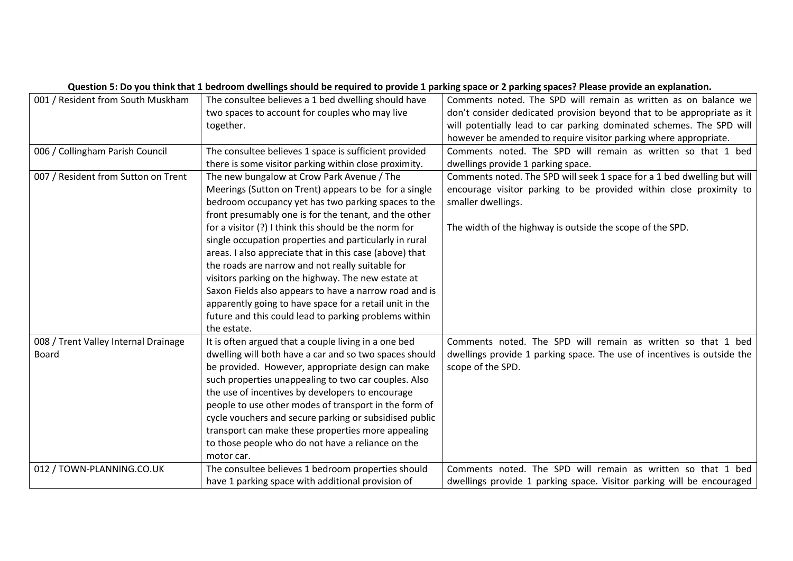|                                      | Question 5: Do you think that 1 bedroom dwellings should be required to provide 1 parking space or 2 parking spaces? Please provide an explanation. |                                                                         |  |
|--------------------------------------|-----------------------------------------------------------------------------------------------------------------------------------------------------|-------------------------------------------------------------------------|--|
| 001 / Resident from South Muskham    | The consultee believes a 1 bed dwelling should have                                                                                                 | Comments noted. The SPD will remain as written as on balance we         |  |
|                                      | two spaces to account for couples who may live                                                                                                      | don't consider dedicated provision beyond that to be appropriate as it  |  |
|                                      | together.                                                                                                                                           | will potentially lead to car parking dominated schemes. The SPD will    |  |
|                                      |                                                                                                                                                     | however be amended to require visitor parking where appropriate.        |  |
| 006 / Collingham Parish Council      | The consultee believes 1 space is sufficient provided                                                                                               | Comments noted. The SPD will remain as written so that 1 bed            |  |
|                                      | there is some visitor parking within close proximity.                                                                                               | dwellings provide 1 parking space.                                      |  |
| 007 / Resident from Sutton on Trent  | The new bungalow at Crow Park Avenue / The                                                                                                          | Comments noted. The SPD will seek 1 space for a 1 bed dwelling but will |  |
|                                      | Meerings (Sutton on Trent) appears to be for a single                                                                                               | encourage visitor parking to be provided within close proximity to      |  |
|                                      | bedroom occupancy yet has two parking spaces to the                                                                                                 | smaller dwellings.                                                      |  |
|                                      | front presumably one is for the tenant, and the other                                                                                               |                                                                         |  |
|                                      | for a visitor (?) I think this should be the norm for                                                                                               | The width of the highway is outside the scope of the SPD.               |  |
|                                      | single occupation properties and particularly in rural                                                                                              |                                                                         |  |
|                                      | areas. I also appreciate that in this case (above) that                                                                                             |                                                                         |  |
|                                      | the roads are narrow and not really suitable for                                                                                                    |                                                                         |  |
|                                      | visitors parking on the highway. The new estate at                                                                                                  |                                                                         |  |
|                                      | Saxon Fields also appears to have a narrow road and is                                                                                              |                                                                         |  |
|                                      | apparently going to have space for a retail unit in the                                                                                             |                                                                         |  |
|                                      | future and this could lead to parking problems within                                                                                               |                                                                         |  |
|                                      | the estate.                                                                                                                                         |                                                                         |  |
| 008 / Trent Valley Internal Drainage | It is often argued that a couple living in a one bed                                                                                                | Comments noted. The SPD will remain as written so that 1 bed            |  |
| Board                                | dwelling will both have a car and so two spaces should                                                                                              | dwellings provide 1 parking space. The use of incentives is outside the |  |
|                                      | be provided. However, appropriate design can make                                                                                                   | scope of the SPD.                                                       |  |
|                                      | such properties unappealing to two car couples. Also                                                                                                |                                                                         |  |
|                                      | the use of incentives by developers to encourage                                                                                                    |                                                                         |  |
|                                      | people to use other modes of transport in the form of                                                                                               |                                                                         |  |
|                                      | cycle vouchers and secure parking or subsidised public                                                                                              |                                                                         |  |
|                                      | transport can make these properties more appealing                                                                                                  |                                                                         |  |
|                                      | to those people who do not have a reliance on the                                                                                                   |                                                                         |  |
|                                      | motor car.                                                                                                                                          |                                                                         |  |
| 012 / TOWN-PLANNING.CO.UK            | The consultee believes 1 bedroom properties should                                                                                                  | Comments noted. The SPD will remain as written so that 1 bed            |  |
|                                      | have 1 parking space with additional provision of                                                                                                   | dwellings provide 1 parking space. Visitor parking will be encouraged   |  |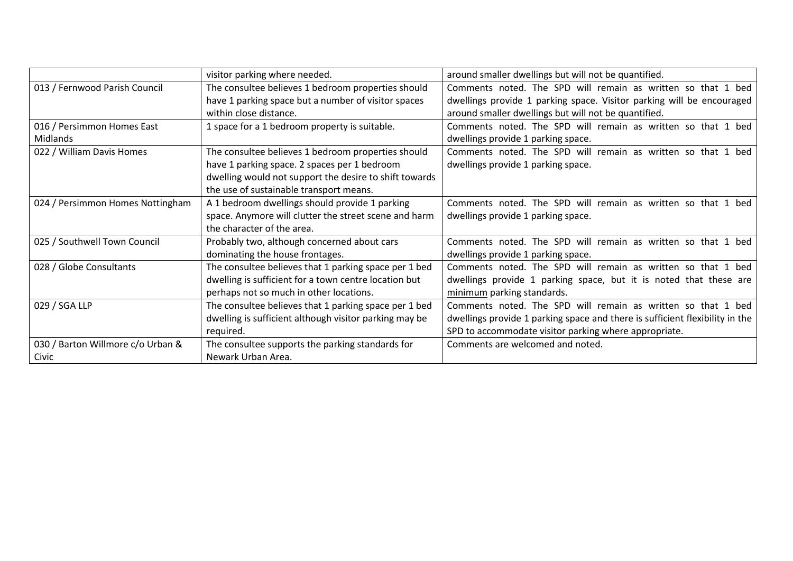|                                   | visitor parking where needed.                          | around smaller dwellings but will not be quantified.                         |
|-----------------------------------|--------------------------------------------------------|------------------------------------------------------------------------------|
| 013 / Fernwood Parish Council     | The consultee believes 1 bedroom properties should     | Comments noted. The SPD will remain as written so that 1 bed                 |
|                                   | have 1 parking space but a number of visitor spaces    | dwellings provide 1 parking space. Visitor parking will be encouraged        |
|                                   | within close distance.                                 | around smaller dwellings but will not be quantified.                         |
| 016 / Persimmon Homes East        | 1 space for a 1 bedroom property is suitable.          | Comments noted. The SPD will remain as written so that 1 bed                 |
| Midlands                          |                                                        | dwellings provide 1 parking space.                                           |
| 022 / William Davis Homes         | The consultee believes 1 bedroom properties should     | Comments noted. The SPD will remain as written so that 1 bed                 |
|                                   | have 1 parking space. 2 spaces per 1 bedroom           | dwellings provide 1 parking space.                                           |
|                                   | dwelling would not support the desire to shift towards |                                                                              |
|                                   | the use of sustainable transport means.                |                                                                              |
| 024 / Persimmon Homes Nottingham  | A 1 bedroom dwellings should provide 1 parking         | Comments noted. The SPD will remain as written so that 1 bed                 |
|                                   | space. Anymore will clutter the street scene and harm  | dwellings provide 1 parking space.                                           |
|                                   | the character of the area.                             |                                                                              |
| 025 / Southwell Town Council      | Probably two, although concerned about cars            | Comments noted. The SPD will remain as written so that 1 bed                 |
|                                   | dominating the house frontages.                        | dwellings provide 1 parking space.                                           |
| 028 / Globe Consultants           | The consultee believes that 1 parking space per 1 bed  | Comments noted. The SPD will remain as written so that 1 bed                 |
|                                   | dwelling is sufficient for a town centre location but  | dwellings provide 1 parking space, but it is noted that these are            |
|                                   | perhaps not so much in other locations.                | minimum parking standards.                                                   |
| 029 / SGA LLP                     | The consultee believes that 1 parking space per 1 bed  | Comments noted. The SPD will remain as written so that 1 bed                 |
|                                   | dwelling is sufficient although visitor parking may be | dwellings provide 1 parking space and there is sufficient flexibility in the |
|                                   | required.                                              | SPD to accommodate visitor parking where appropriate.                        |
| 030 / Barton Willmore c/o Urban & | The consultee supports the parking standards for       | Comments are welcomed and noted.                                             |
| Civic                             | Newark Urban Area.                                     |                                                                              |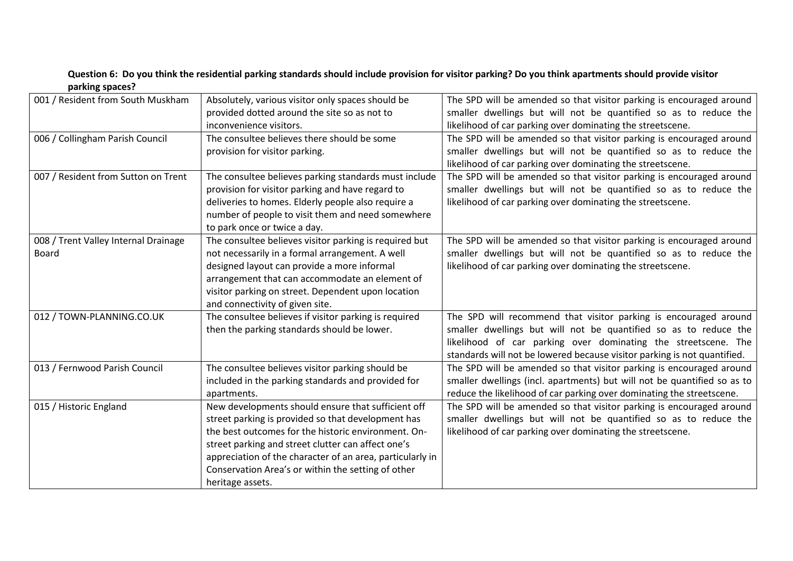| parning spaces:                      |                                                                                                   |                                                                                                                                          |
|--------------------------------------|---------------------------------------------------------------------------------------------------|------------------------------------------------------------------------------------------------------------------------------------------|
| 001 / Resident from South Muskham    | Absolutely, various visitor only spaces should be<br>provided dotted around the site so as not to | The SPD will be amended so that visitor parking is encouraged around<br>smaller dwellings but will not be quantified so as to reduce the |
|                                      | inconvenience visitors.                                                                           | likelihood of car parking over dominating the streetscene.                                                                               |
| 006 / Collingham Parish Council      | The consultee believes there should be some                                                       | The SPD will be amended so that visitor parking is encouraged around                                                                     |
|                                      | provision for visitor parking.                                                                    | smaller dwellings but will not be quantified so as to reduce the                                                                         |
|                                      |                                                                                                   | likelihood of car parking over dominating the streetscene.                                                                               |
| 007 / Resident from Sutton on Trent  | The consultee believes parking standards must include                                             | The SPD will be amended so that visitor parking is encouraged around                                                                     |
|                                      | provision for visitor parking and have regard to                                                  | smaller dwellings but will not be quantified so as to reduce the                                                                         |
|                                      | deliveries to homes. Elderly people also require a                                                | likelihood of car parking over dominating the streetscene.                                                                               |
|                                      | number of people to visit them and need somewhere                                                 |                                                                                                                                          |
|                                      | to park once or twice a day.                                                                      |                                                                                                                                          |
| 008 / Trent Valley Internal Drainage | The consultee believes visitor parking is required but                                            | The SPD will be amended so that visitor parking is encouraged around                                                                     |
| Board                                | not necessarily in a formal arrangement. A well                                                   | smaller dwellings but will not be quantified so as to reduce the                                                                         |
|                                      | designed layout can provide a more informal                                                       | likelihood of car parking over dominating the streetscene.                                                                               |
|                                      | arrangement that can accommodate an element of                                                    |                                                                                                                                          |
|                                      | visitor parking on street. Dependent upon location                                                |                                                                                                                                          |
|                                      | and connectivity of given site.                                                                   |                                                                                                                                          |
| 012 / TOWN-PLANNING.CO.UK            | The consultee believes if visitor parking is required                                             | The SPD will recommend that visitor parking is encouraged around                                                                         |
|                                      | then the parking standards should be lower.                                                       | smaller dwellings but will not be quantified so as to reduce the                                                                         |
|                                      |                                                                                                   | likelihood of car parking over dominating the streetscene. The                                                                           |
|                                      |                                                                                                   | standards will not be lowered because visitor parking is not quantified.                                                                 |
| 013 / Fernwood Parish Council        | The consultee believes visitor parking should be                                                  | The SPD will be amended so that visitor parking is encouraged around                                                                     |
|                                      |                                                                                                   | smaller dwellings (incl. apartments) but will not be quantified so as to                                                                 |
|                                      | included in the parking standards and provided for                                                |                                                                                                                                          |
|                                      | apartments.                                                                                       | reduce the likelihood of car parking over dominating the streetscene.                                                                    |
| 015 / Historic England               | New developments should ensure that sufficient off                                                | The SPD will be amended so that visitor parking is encouraged around                                                                     |
|                                      | street parking is provided so that development has                                                | smaller dwellings but will not be quantified so as to reduce the                                                                         |
|                                      | the best outcomes for the historic environment. On-                                               | likelihood of car parking over dominating the streetscene.                                                                               |
|                                      | street parking and street clutter can affect one's                                                |                                                                                                                                          |
|                                      | appreciation of the character of an area, particularly in                                         |                                                                                                                                          |
|                                      | Conservation Area's or within the setting of other                                                |                                                                                                                                          |
|                                      | heritage assets.                                                                                  |                                                                                                                                          |

#### **Question 6: Do you think the residential parking standards should include provision for visitor parking? Do you think apartments should provide visitor parking spaces?**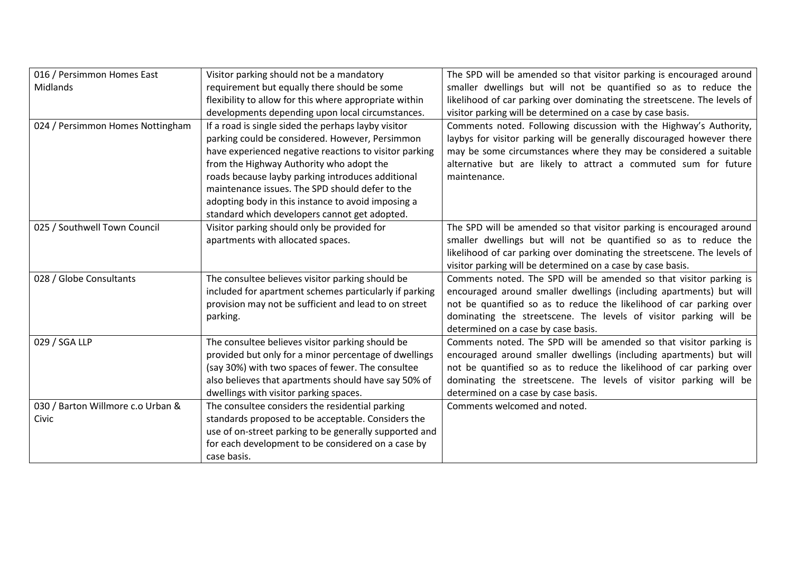| 016 / Persimmon Homes East        | Visitor parking should not be a mandatory              | The SPD will be amended so that visitor parking is encouraged around     |
|-----------------------------------|--------------------------------------------------------|--------------------------------------------------------------------------|
| Midlands                          | requirement but equally there should be some           | smaller dwellings but will not be quantified so as to reduce the         |
|                                   | flexibility to allow for this where appropriate within | likelihood of car parking over dominating the streetscene. The levels of |
|                                   | developments depending upon local circumstances.       | visitor parking will be determined on a case by case basis.              |
| 024 / Persimmon Homes Nottingham  | If a road is single sided the perhaps layby visitor    | Comments noted. Following discussion with the Highway's Authority,       |
|                                   | parking could be considered. However, Persimmon        | laybys for visitor parking will be generally discouraged however there   |
|                                   | have experienced negative reactions to visitor parking | may be some circumstances where they may be considered a suitable        |
|                                   | from the Highway Authority who adopt the               | alternative but are likely to attract a commuted sum for future          |
|                                   | roads because layby parking introduces additional      | maintenance.                                                             |
|                                   | maintenance issues. The SPD should defer to the        |                                                                          |
|                                   | adopting body in this instance to avoid imposing a     |                                                                          |
|                                   | standard which developers cannot get adopted.          |                                                                          |
| 025 / Southwell Town Council      | Visitor parking should only be provided for            | The SPD will be amended so that visitor parking is encouraged around     |
|                                   | apartments with allocated spaces.                      | smaller dwellings but will not be quantified so as to reduce the         |
|                                   |                                                        | likelihood of car parking over dominating the streetscene. The levels of |
|                                   |                                                        | visitor parking will be determined on a case by case basis.              |
| 028 / Globe Consultants           | The consultee believes visitor parking should be       | Comments noted. The SPD will be amended so that visitor parking is       |
|                                   | included for apartment schemes particularly if parking | encouraged around smaller dwellings (including apartments) but will      |
|                                   | provision may not be sufficient and lead to on street  | not be quantified so as to reduce the likelihood of car parking over     |
|                                   | parking.                                               | dominating the streetscene. The levels of visitor parking will be        |
|                                   |                                                        | determined on a case by case basis.                                      |
| 029 / SGA LLP                     | The consultee believes visitor parking should be       | Comments noted. The SPD will be amended so that visitor parking is       |
|                                   | provided but only for a minor percentage of dwellings  | encouraged around smaller dwellings (including apartments) but will      |
|                                   | (say 30%) with two spaces of fewer. The consultee      | not be quantified so as to reduce the likelihood of car parking over     |
|                                   | also believes that apartments should have say 50% of   | dominating the streetscene. The levels of visitor parking will be        |
|                                   | dwellings with visitor parking spaces.                 | determined on a case by case basis.                                      |
| 030 / Barton Willmore c.o Urban & | The consultee considers the residential parking        | Comments welcomed and noted.                                             |
| Civic                             | standards proposed to be acceptable. Considers the     |                                                                          |
|                                   | use of on-street parking to be generally supported and |                                                                          |
|                                   | for each development to be considered on a case by     |                                                                          |
|                                   | case basis.                                            |                                                                          |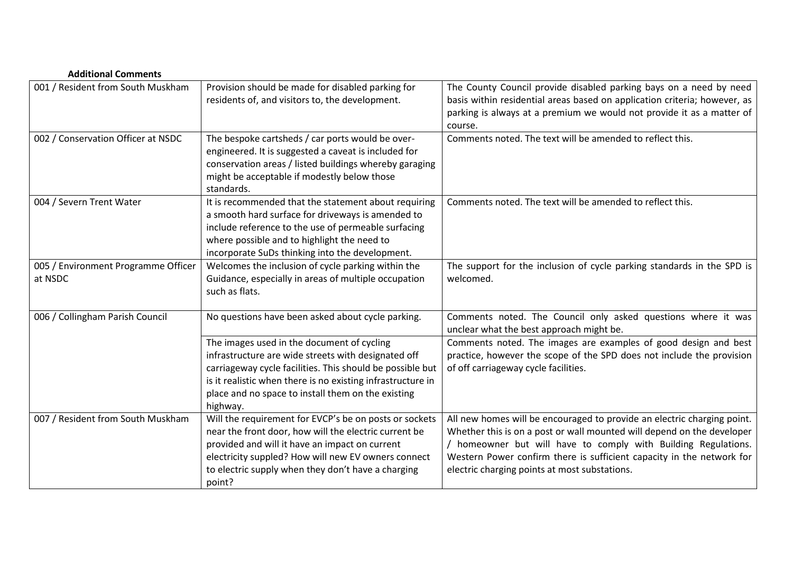| <b>Additional Comments</b>                     |                                                                                                                                                                                                                                                                                                 |                                                                                                                                                                                                                                                                                                                                               |
|------------------------------------------------|-------------------------------------------------------------------------------------------------------------------------------------------------------------------------------------------------------------------------------------------------------------------------------------------------|-----------------------------------------------------------------------------------------------------------------------------------------------------------------------------------------------------------------------------------------------------------------------------------------------------------------------------------------------|
| 001 / Resident from South Muskham              | Provision should be made for disabled parking for<br>residents of, and visitors to, the development.                                                                                                                                                                                            | The County Council provide disabled parking bays on a need by need<br>basis within residential areas based on application criteria; however, as<br>parking is always at a premium we would not provide it as a matter of<br>course.                                                                                                           |
| 002 / Conservation Officer at NSDC             | The bespoke cartsheds / car ports would be over-<br>engineered. It is suggested a caveat is included for<br>conservation areas / listed buildings whereby garaging<br>might be acceptable if modestly below those<br>standards.                                                                 | Comments noted. The text will be amended to reflect this.                                                                                                                                                                                                                                                                                     |
| 004 / Severn Trent Water                       | It is recommended that the statement about requiring<br>a smooth hard surface for driveways is amended to<br>include reference to the use of permeable surfacing<br>where possible and to highlight the need to<br>incorporate SuDs thinking into the development.                              | Comments noted. The text will be amended to reflect this.                                                                                                                                                                                                                                                                                     |
| 005 / Environment Programme Officer<br>at NSDC | Welcomes the inclusion of cycle parking within the<br>Guidance, especially in areas of multiple occupation<br>such as flats.                                                                                                                                                                    | The support for the inclusion of cycle parking standards in the SPD is<br>welcomed.                                                                                                                                                                                                                                                           |
| 006 / Collingham Parish Council                | No questions have been asked about cycle parking.                                                                                                                                                                                                                                               | Comments noted. The Council only asked questions where it was<br>unclear what the best approach might be.                                                                                                                                                                                                                                     |
|                                                | The images used in the document of cycling<br>infrastructure are wide streets with designated off<br>carriageway cycle facilities. This should be possible but<br>is it realistic when there is no existing infrastructure in<br>place and no space to install them on the existing<br>highway. | Comments noted. The images are examples of good design and best<br>practice, however the scope of the SPD does not include the provision<br>of off carriageway cycle facilities.                                                                                                                                                              |
| 007 / Resident from South Muskham              | Will the requirement for EVCP's be on posts or sockets<br>near the front door, how will the electric current be<br>provided and will it have an impact on current<br>electricity suppled? How will new EV owners connect<br>to electric supply when they don't have a charging<br>point?        | All new homes will be encouraged to provide an electric charging point.<br>Whether this is on a post or wall mounted will depend on the developer<br>/ homeowner but will have to comply with Building Regulations.<br>Western Power confirm there is sufficient capacity in the network for<br>electric charging points at most substations. |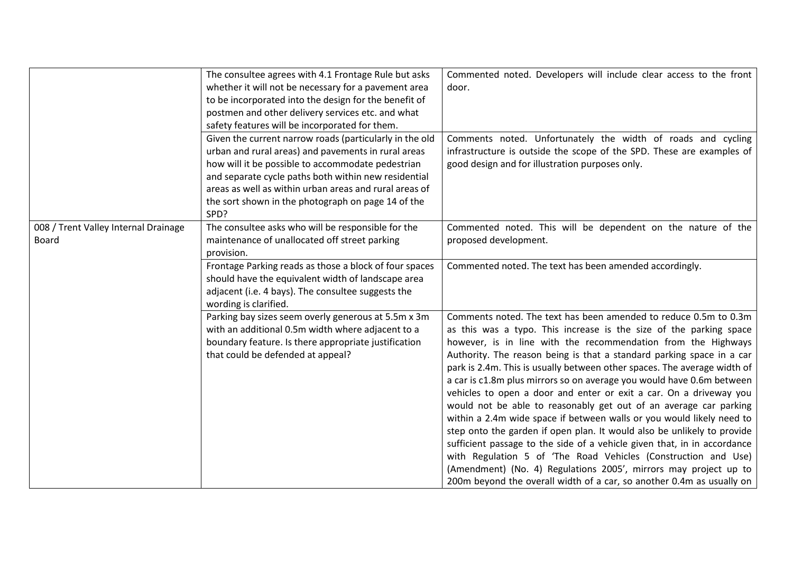|                                      | The consultee agrees with 4.1 Frontage Rule but asks    | Commented noted. Developers will include clear access to the front       |
|--------------------------------------|---------------------------------------------------------|--------------------------------------------------------------------------|
|                                      | whether it will not be necessary for a pavement area    | door.                                                                    |
|                                      | to be incorporated into the design for the benefit of   |                                                                          |
|                                      | postmen and other delivery services etc. and what       |                                                                          |
|                                      | safety features will be incorporated for them.          |                                                                          |
|                                      | Given the current narrow roads (particularly in the old | Comments noted. Unfortunately the width of roads and cycling             |
|                                      | urban and rural areas) and pavements in rural areas     | infrastructure is outside the scope of the SPD. These are examples of    |
|                                      | how will it be possible to accommodate pedestrian       | good design and for illustration purposes only.                          |
|                                      | and separate cycle paths both within new residential    |                                                                          |
|                                      | areas as well as within urban areas and rural areas of  |                                                                          |
|                                      | the sort shown in the photograph on page 14 of the      |                                                                          |
|                                      | SPD?                                                    |                                                                          |
| 008 / Trent Valley Internal Drainage | The consultee asks who will be responsible for the      | Commented noted. This will be dependent on the nature of the             |
| Board                                | maintenance of unallocated off street parking           | proposed development.                                                    |
|                                      | provision.                                              |                                                                          |
|                                      | Frontage Parking reads as those a block of four spaces  | Commented noted. The text has been amended accordingly.                  |
|                                      | should have the equivalent width of landscape area      |                                                                          |
|                                      | adjacent (i.e. 4 bays). The consultee suggests the      |                                                                          |
|                                      | wording is clarified.                                   |                                                                          |
|                                      | Parking bay sizes seem overly generous at 5.5m x 3m     | Comments noted. The text has been amended to reduce 0.5m to 0.3m         |
|                                      | with an additional 0.5m width where adjacent to a       | as this was a typo. This increase is the size of the parking space       |
|                                      | boundary feature. Is there appropriate justification    | however, is in line with the recommendation from the Highways            |
|                                      | that could be defended at appeal?                       | Authority. The reason being is that a standard parking space in a car    |
|                                      |                                                         | park is 2.4m. This is usually between other spaces. The average width of |
|                                      |                                                         | a car is c1.8m plus mirrors so on average you would have 0.6m between    |
|                                      |                                                         | vehicles to open a door and enter or exit a car. On a driveway you       |
|                                      |                                                         | would not be able to reasonably get out of an average car parking        |
|                                      |                                                         | within a 2.4m wide space if between walls or you would likely need to    |
|                                      |                                                         | step onto the garden if open plan. It would also be unlikely to provide  |
|                                      |                                                         | sufficient passage to the side of a vehicle given that, in in accordance |
|                                      |                                                         | with Regulation 5 of 'The Road Vehicles (Construction and Use)           |
|                                      |                                                         | (Amendment) (No. 4) Regulations 2005', mirrors may project up to         |
|                                      |                                                         | 200m beyond the overall width of a car, so another 0.4m as usually on    |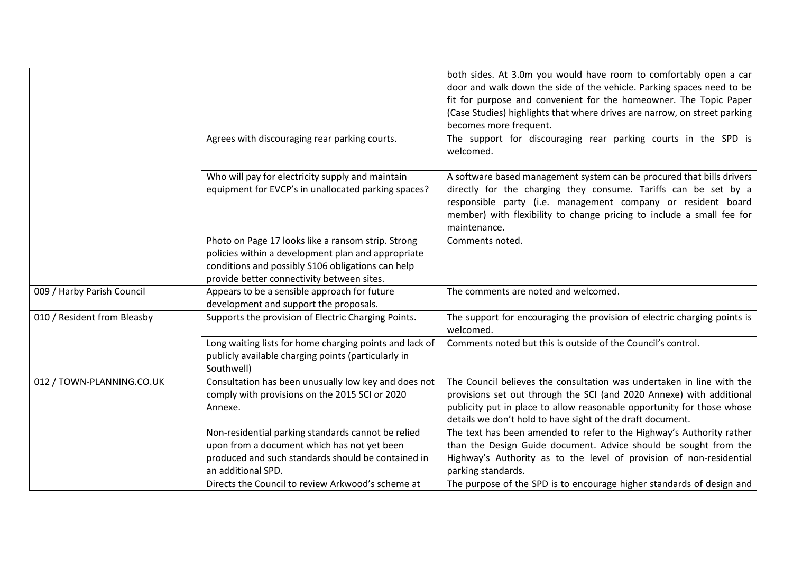|                             |                                                                                                                                                                                                             | both sides. At 3.0m you would have room to comfortably open a car<br>door and walk down the side of the vehicle. Parking spaces need to be<br>fit for purpose and convenient for the homeowner. The Topic Paper<br>(Case Studies) highlights that where drives are narrow, on street parking<br>becomes more frequent. |
|-----------------------------|-------------------------------------------------------------------------------------------------------------------------------------------------------------------------------------------------------------|------------------------------------------------------------------------------------------------------------------------------------------------------------------------------------------------------------------------------------------------------------------------------------------------------------------------|
|                             | Agrees with discouraging rear parking courts.                                                                                                                                                               | The support for discouraging rear parking courts in the SPD is<br>welcomed.                                                                                                                                                                                                                                            |
|                             | Who will pay for electricity supply and maintain<br>equipment for EVCP's in unallocated parking spaces?                                                                                                     | A software based management system can be procured that bills drivers<br>directly for the charging they consume. Tariffs can be set by a<br>responsible party (i.e. management company or resident board<br>member) with flexibility to change pricing to include a small fee for<br>maintenance.                      |
|                             | Photo on Page 17 looks like a ransom strip. Strong<br>policies within a development plan and appropriate<br>conditions and possibly S106 obligations can help<br>provide better connectivity between sites. | Comments noted.                                                                                                                                                                                                                                                                                                        |
| 009 / Harby Parish Council  | Appears to be a sensible approach for future<br>development and support the proposals.                                                                                                                      | The comments are noted and welcomed.                                                                                                                                                                                                                                                                                   |
| 010 / Resident from Bleasby | Supports the provision of Electric Charging Points.                                                                                                                                                         | The support for encouraging the provision of electric charging points is<br>welcomed.                                                                                                                                                                                                                                  |
|                             | Long waiting lists for home charging points and lack of<br>publicly available charging points (particularly in<br>Southwell)                                                                                | Comments noted but this is outside of the Council's control.                                                                                                                                                                                                                                                           |
| 012 / TOWN-PLANNING.CO.UK   | Consultation has been unusually low key and does not<br>comply with provisions on the 2015 SCI or 2020<br>Annexe.                                                                                           | The Council believes the consultation was undertaken in line with the<br>provisions set out through the SCI (and 2020 Annexe) with additional<br>publicity put in place to allow reasonable opportunity for those whose<br>details we don't hold to have sight of the draft document.                                  |
|                             | Non-residential parking standards cannot be relied<br>upon from a document which has not yet been<br>produced and such standards should be contained in<br>an additional SPD.                               | The text has been amended to refer to the Highway's Authority rather<br>than the Design Guide document. Advice should be sought from the<br>Highway's Authority as to the level of provision of non-residential<br>parking standards.                                                                                  |
|                             | Directs the Council to review Arkwood's scheme at                                                                                                                                                           | The purpose of the SPD is to encourage higher standards of design and                                                                                                                                                                                                                                                  |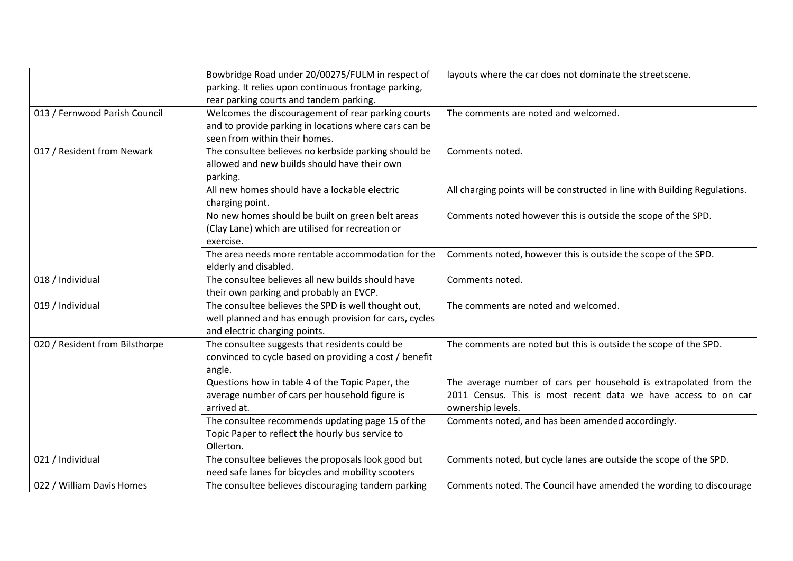|                                | Bowbridge Road under 20/00275/FULM in respect of<br>parking. It relies upon continuous frontage parking,<br>rear parking courts and tandem parking. | layouts where the car does not dominate the streetscene.                                                                                                 |
|--------------------------------|-----------------------------------------------------------------------------------------------------------------------------------------------------|----------------------------------------------------------------------------------------------------------------------------------------------------------|
| 013 / Fernwood Parish Council  | Welcomes the discouragement of rear parking courts<br>and to provide parking in locations where cars can be<br>seen from within their homes.        | The comments are noted and welcomed.                                                                                                                     |
| 017 / Resident from Newark     | The consultee believes no kerbside parking should be<br>allowed and new builds should have their own<br>parking.                                    | Comments noted.                                                                                                                                          |
|                                | All new homes should have a lockable electric<br>charging point.                                                                                    | All charging points will be constructed in line with Building Regulations.                                                                               |
|                                | No new homes should be built on green belt areas<br>(Clay Lane) which are utilised for recreation or<br>exercise.                                   | Comments noted however this is outside the scope of the SPD.                                                                                             |
|                                | The area needs more rentable accommodation for the<br>elderly and disabled.                                                                         | Comments noted, however this is outside the scope of the SPD.                                                                                            |
| 018 / Individual               | The consultee believes all new builds should have<br>their own parking and probably an EVCP.                                                        | Comments noted.                                                                                                                                          |
| 019 / Individual               | The consultee believes the SPD is well thought out,<br>well planned and has enough provision for cars, cycles<br>and electric charging points.      | The comments are noted and welcomed.                                                                                                                     |
| 020 / Resident from Bilsthorpe | The consultee suggests that residents could be<br>convinced to cycle based on providing a cost / benefit<br>angle.                                  | The comments are noted but this is outside the scope of the SPD.                                                                                         |
|                                | Questions how in table 4 of the Topic Paper, the<br>average number of cars per household figure is<br>arrived at.                                   | The average number of cars per household is extrapolated from the<br>2011 Census. This is most recent data we have access to on car<br>ownership levels. |
|                                | The consultee recommends updating page 15 of the<br>Topic Paper to reflect the hourly bus service to<br>Ollerton.                                   | Comments noted, and has been amended accordingly.                                                                                                        |
| 021 / Individual               | The consultee believes the proposals look good but<br>need safe lanes for bicycles and mobility scooters                                            | Comments noted, but cycle lanes are outside the scope of the SPD.                                                                                        |
| 022 / William Davis Homes      | The consultee believes discouraging tandem parking                                                                                                  | Comments noted. The Council have amended the wording to discourage                                                                                       |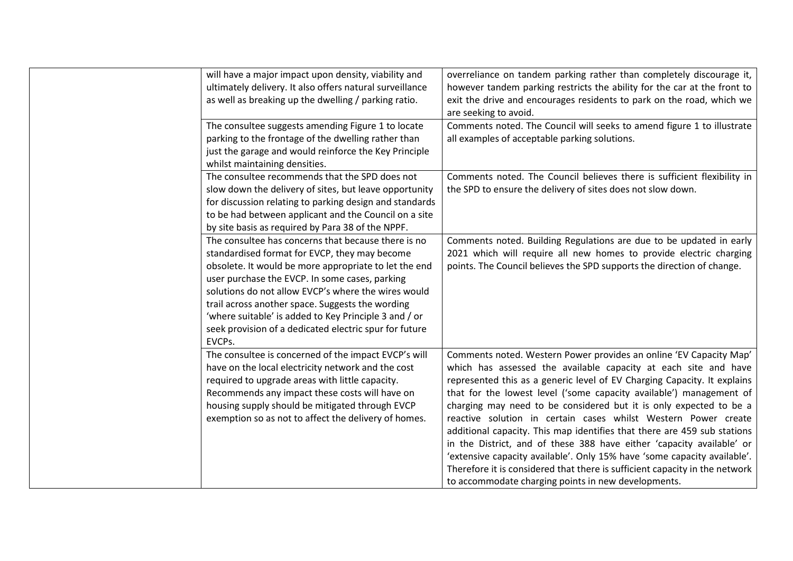| will have a major impact upon density, viability and<br>ultimately delivery. It also offers natural surveillance<br>as well as breaking up the dwelling / parking ratio.                                                                                                                                                                                                                                                                                | overreliance on tandem parking rather than completely discourage it,<br>however tandem parking restricts the ability for the car at the front to<br>exit the drive and encourages residents to park on the road, which we<br>are seeking to avoid.                                                                                                                                                                                                                                                                                                                                                                                                                                                                                                                                                      |
|---------------------------------------------------------------------------------------------------------------------------------------------------------------------------------------------------------------------------------------------------------------------------------------------------------------------------------------------------------------------------------------------------------------------------------------------------------|---------------------------------------------------------------------------------------------------------------------------------------------------------------------------------------------------------------------------------------------------------------------------------------------------------------------------------------------------------------------------------------------------------------------------------------------------------------------------------------------------------------------------------------------------------------------------------------------------------------------------------------------------------------------------------------------------------------------------------------------------------------------------------------------------------|
| The consultee suggests amending Figure 1 to locate<br>parking to the frontage of the dwelling rather than<br>just the garage and would reinforce the Key Principle<br>whilst maintaining densities.                                                                                                                                                                                                                                                     | Comments noted. The Council will seeks to amend figure 1 to illustrate<br>all examples of acceptable parking solutions.                                                                                                                                                                                                                                                                                                                                                                                                                                                                                                                                                                                                                                                                                 |
| The consultee recommends that the SPD does not<br>slow down the delivery of sites, but leave opportunity<br>for discussion relating to parking design and standards<br>to be had between applicant and the Council on a site<br>by site basis as required by Para 38 of the NPPF.                                                                                                                                                                       | Comments noted. The Council believes there is sufficient flexibility in<br>the SPD to ensure the delivery of sites does not slow down.                                                                                                                                                                                                                                                                                                                                                                                                                                                                                                                                                                                                                                                                  |
| The consultee has concerns that because there is no<br>standardised format for EVCP, they may become<br>obsolete. It would be more appropriate to let the end<br>user purchase the EVCP. In some cases, parking<br>solutions do not allow EVCP's where the wires would<br>trail across another space. Suggests the wording<br>'where suitable' is added to Key Principle 3 and / or<br>seek provision of a dedicated electric spur for future<br>EVCPs. | Comments noted. Building Regulations are due to be updated in early<br>2021 which will require all new homes to provide electric charging<br>points. The Council believes the SPD supports the direction of change.                                                                                                                                                                                                                                                                                                                                                                                                                                                                                                                                                                                     |
| The consultee is concerned of the impact EVCP's will<br>have on the local electricity network and the cost<br>required to upgrade areas with little capacity.<br>Recommends any impact these costs will have on<br>housing supply should be mitigated through EVCP<br>exemption so as not to affect the delivery of homes.                                                                                                                              | Comments noted. Western Power provides an online 'EV Capacity Map'<br>which has assessed the available capacity at each site and have<br>represented this as a generic level of EV Charging Capacity. It explains<br>that for the lowest level ('some capacity available') management of<br>charging may need to be considered but it is only expected to be a<br>reactive solution in certain cases whilst Western Power create<br>additional capacity. This map identifies that there are 459 sub stations<br>in the District, and of these 388 have either 'capacity available' or<br>'extensive capacity available'. Only 15% have 'some capacity available'.<br>Therefore it is considered that there is sufficient capacity in the network<br>to accommodate charging points in new developments. |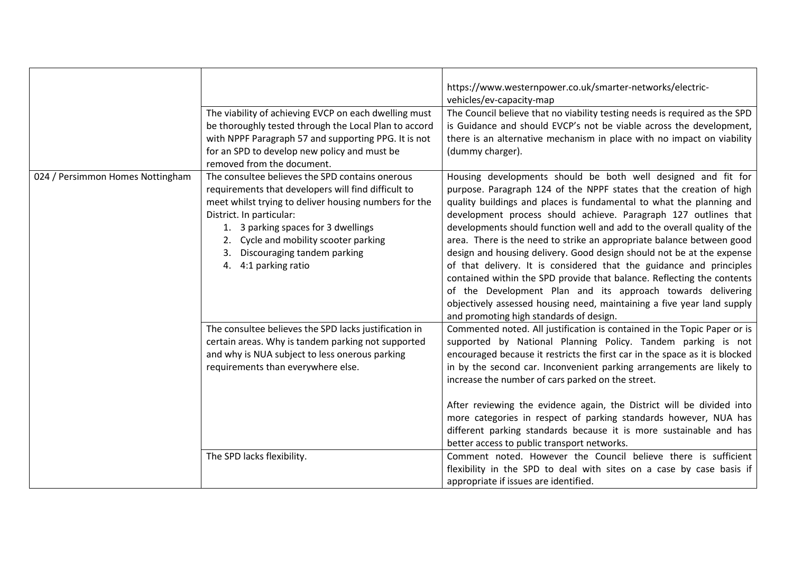|                                  | The viability of achieving EVCP on each dwelling must<br>be thoroughly tested through the Local Plan to accord<br>with NPPF Paragraph 57 and supporting PPG. It is not<br>for an SPD to develop new policy and must be<br>removed from the document.                                                                                  | https://www.westernpower.co.uk/smarter-networks/electric-<br>vehicles/ev-capacity-map<br>The Council believe that no viability testing needs is required as the SPD<br>is Guidance and should EVCP's not be viable across the development,<br>there is an alternative mechanism in place with no impact on viability<br>(dummy charger).                                                                                                                                                                                                                                                                                                                                                                                                                                                                                                          |
|----------------------------------|---------------------------------------------------------------------------------------------------------------------------------------------------------------------------------------------------------------------------------------------------------------------------------------------------------------------------------------|---------------------------------------------------------------------------------------------------------------------------------------------------------------------------------------------------------------------------------------------------------------------------------------------------------------------------------------------------------------------------------------------------------------------------------------------------------------------------------------------------------------------------------------------------------------------------------------------------------------------------------------------------------------------------------------------------------------------------------------------------------------------------------------------------------------------------------------------------|
| 024 / Persimmon Homes Nottingham | The consultee believes the SPD contains onerous<br>requirements that developers will find difficult to<br>meet whilst trying to deliver housing numbers for the<br>District. In particular:<br>1. 3 parking spaces for 3 dwellings<br>2. Cycle and mobility scooter parking<br>3. Discouraging tandem parking<br>4. 4:1 parking ratio | Housing developments should be both well designed and fit for<br>purpose. Paragraph 124 of the NPPF states that the creation of high<br>quality buildings and places is fundamental to what the planning and<br>development process should achieve. Paragraph 127 outlines that<br>developments should function well and add to the overall quality of the<br>area. There is the need to strike an appropriate balance between good<br>design and housing delivery. Good design should not be at the expense<br>of that delivery. It is considered that the guidance and principles<br>contained within the SPD provide that balance. Reflecting the contents<br>of the Development Plan and its approach towards delivering<br>objectively assessed housing need, maintaining a five year land supply<br>and promoting high standards of design. |
|                                  | The consultee believes the SPD lacks justification in<br>certain areas. Why is tandem parking not supported<br>and why is NUA subject to less onerous parking<br>requirements than everywhere else.                                                                                                                                   | Commented noted. All justification is contained in the Topic Paper or is<br>supported by National Planning Policy. Tandem parking is not<br>encouraged because it restricts the first car in the space as it is blocked<br>in by the second car. Inconvenient parking arrangements are likely to<br>increase the number of cars parked on the street.<br>After reviewing the evidence again, the District will be divided into<br>more categories in respect of parking standards however, NUA has<br>different parking standards because it is more sustainable and has<br>better access to public transport networks.                                                                                                                                                                                                                           |
|                                  | The SPD lacks flexibility.                                                                                                                                                                                                                                                                                                            | Comment noted. However the Council believe there is sufficient<br>flexibility in the SPD to deal with sites on a case by case basis if<br>appropriate if issues are identified.                                                                                                                                                                                                                                                                                                                                                                                                                                                                                                                                                                                                                                                                   |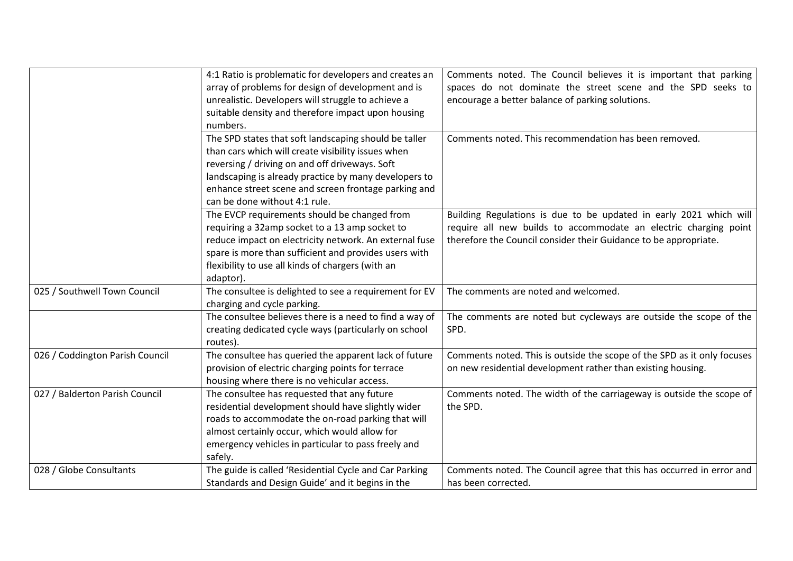|                                 | 4:1 Ratio is problematic for developers and creates an  | Comments noted. The Council believes it is important that parking       |
|---------------------------------|---------------------------------------------------------|-------------------------------------------------------------------------|
|                                 | array of problems for design of development and is      | spaces do not dominate the street scene and the SPD seeks to            |
|                                 | unrealistic. Developers will struggle to achieve a      | encourage a better balance of parking solutions.                        |
|                                 | suitable density and therefore impact upon housing      |                                                                         |
|                                 | numbers.                                                |                                                                         |
|                                 | The SPD states that soft landscaping should be taller   | Comments noted. This recommendation has been removed.                   |
|                                 | than cars which will create visibility issues when      |                                                                         |
|                                 | reversing / driving on and off driveways. Soft          |                                                                         |
|                                 | landscaping is already practice by many developers to   |                                                                         |
|                                 | enhance street scene and screen frontage parking and    |                                                                         |
|                                 | can be done without 4:1 rule.                           |                                                                         |
|                                 | The EVCP requirements should be changed from            | Building Regulations is due to be updated in early 2021 which will      |
|                                 | requiring a 32amp socket to a 13 amp socket to          | require all new builds to accommodate an electric charging point        |
|                                 | reduce impact on electricity network. An external fuse  | therefore the Council consider their Guidance to be appropriate.        |
|                                 | spare is more than sufficient and provides users with   |                                                                         |
|                                 | flexibility to use all kinds of chargers (with an       |                                                                         |
|                                 | adaptor).                                               |                                                                         |
| 025 / Southwell Town Council    | The consultee is delighted to see a requirement for EV  | The comments are noted and welcomed.                                    |
|                                 | charging and cycle parking.                             |                                                                         |
|                                 | The consultee believes there is a need to find a way of | The comments are noted but cycleways are outside the scope of the       |
|                                 | creating dedicated cycle ways (particularly on school   | SPD.                                                                    |
|                                 | routes).                                                |                                                                         |
| 026 / Coddington Parish Council | The consultee has queried the apparent lack of future   | Comments noted. This is outside the scope of the SPD as it only focuses |
|                                 | provision of electric charging points for terrace       | on new residential development rather than existing housing.            |
|                                 | housing where there is no vehicular access.             |                                                                         |
| 027 / Balderton Parish Council  | The consultee has requested that any future             | Comments noted. The width of the carriageway is outside the scope of    |
|                                 | residential development should have slightly wider      | the SPD.                                                                |
|                                 | roads to accommodate the on-road parking that will      |                                                                         |
|                                 | almost certainly occur, which would allow for           |                                                                         |
|                                 | emergency vehicles in particular to pass freely and     |                                                                         |
|                                 | safely.                                                 |                                                                         |
| 028 / Globe Consultants         | The guide is called 'Residential Cycle and Car Parking  | Comments noted. The Council agree that this has occurred in error and   |
|                                 | Standards and Design Guide' and it begins in the        | has been corrected.                                                     |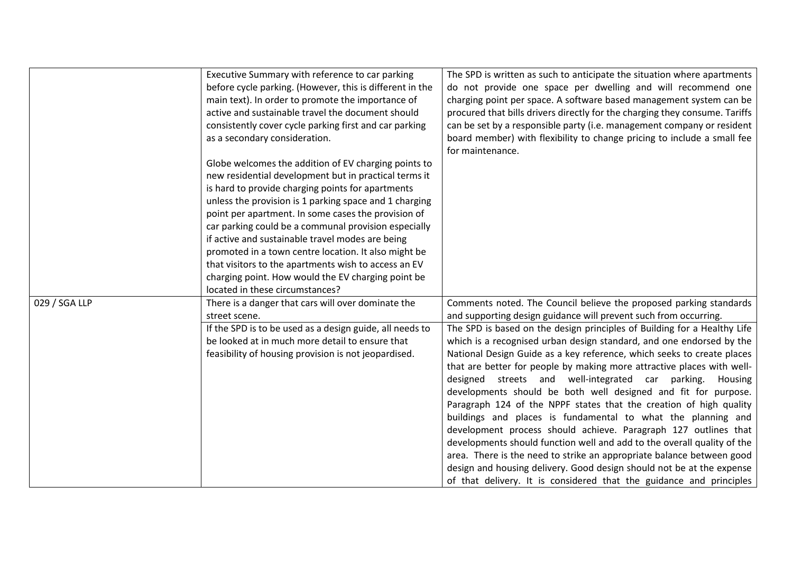|               | Executive Summary with reference to car parking          | The SPD is written as such to anticipate the situation where apartments     |
|---------------|----------------------------------------------------------|-----------------------------------------------------------------------------|
|               | before cycle parking. (However, this is different in the | do not provide one space per dwelling and will recommend one                |
|               | main text). In order to promote the importance of        | charging point per space. A software based management system can be         |
|               | active and sustainable travel the document should        | procured that bills drivers directly for the charging they consume. Tariffs |
|               | consistently cover cycle parking first and car parking   | can be set by a responsible party (i.e. management company or resident      |
|               | as a secondary consideration.                            | board member) with flexibility to change pricing to include a small fee     |
|               |                                                          | for maintenance.                                                            |
|               | Globe welcomes the addition of EV charging points to     |                                                                             |
|               | new residential development but in practical terms it    |                                                                             |
|               | is hard to provide charging points for apartments        |                                                                             |
|               | unless the provision is 1 parking space and 1 charging   |                                                                             |
|               | point per apartment. In some cases the provision of      |                                                                             |
|               | car parking could be a communal provision especially     |                                                                             |
|               | if active and sustainable travel modes are being         |                                                                             |
|               | promoted in a town centre location. It also might be     |                                                                             |
|               | that visitors to the apartments wish to access an EV     |                                                                             |
|               | charging point. How would the EV charging point be       |                                                                             |
|               | located in these circumstances?                          |                                                                             |
| 029 / SGA LLP | There is a danger that cars will over dominate the       | Comments noted. The Council believe the proposed parking standards          |
|               | street scene.                                            | and supporting design guidance will prevent such from occurring.            |
|               | If the SPD is to be used as a design guide, all needs to | The SPD is based on the design principles of Building for a Healthy Life    |
|               | be looked at in much more detail to ensure that          | which is a recognised urban design standard, and one endorsed by the        |
|               | feasibility of housing provision is not jeopardised.     | National Design Guide as a key reference, which seeks to create places      |
|               |                                                          | that are better for people by making more attractive places with well-      |
|               |                                                          | designed streets and well-integrated car parking.<br>Housing                |
|               |                                                          | developments should be both well designed and fit for purpose.              |
|               |                                                          | Paragraph 124 of the NPPF states that the creation of high quality          |
|               |                                                          | buildings and places is fundamental to what the planning and                |
|               |                                                          | development process should achieve. Paragraph 127 outlines that             |
|               |                                                          | developments should function well and add to the overall quality of the     |
|               |                                                          | area. There is the need to strike an appropriate balance between good       |
|               |                                                          | design and housing delivery. Good design should not be at the expense       |
|               |                                                          | of that delivery. It is considered that the guidance and principles         |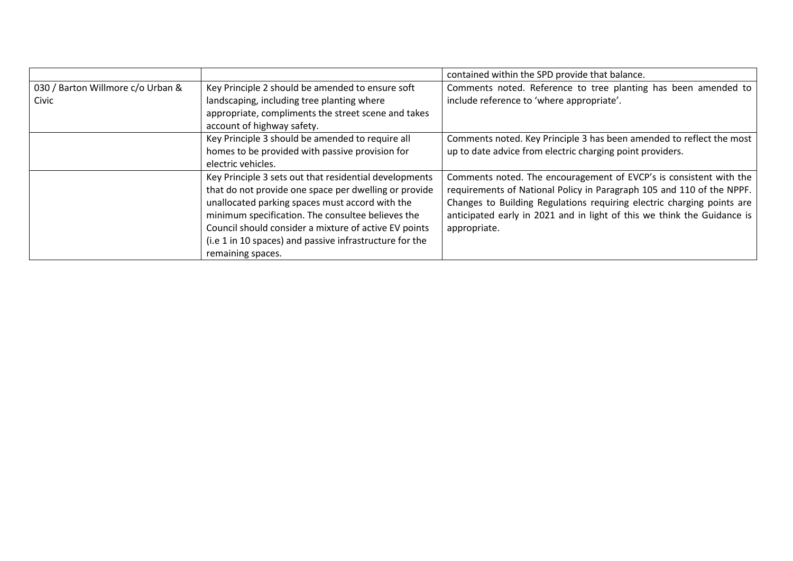|                                   |                                                         | contained within the SPD provide that balance.                          |
|-----------------------------------|---------------------------------------------------------|-------------------------------------------------------------------------|
| 030 / Barton Willmore c/o Urban & | Key Principle 2 should be amended to ensure soft        | Comments noted. Reference to tree planting has been amended to          |
| Civic                             | landscaping, including tree planting where              | include reference to 'where appropriate'.                               |
|                                   | appropriate, compliments the street scene and takes     |                                                                         |
|                                   | account of highway safety.                              |                                                                         |
|                                   | Key Principle 3 should be amended to require all        | Comments noted. Key Principle 3 has been amended to reflect the most    |
|                                   | homes to be provided with passive provision for         | up to date advice from electric charging point providers.               |
|                                   | electric vehicles.                                      |                                                                         |
|                                   | Key Principle 3 sets out that residential developments  | Comments noted. The encouragement of EVCP's is consistent with the      |
|                                   | that do not provide one space per dwelling or provide   | requirements of National Policy in Paragraph 105 and 110 of the NPPF.   |
|                                   | unallocated parking spaces must accord with the         | Changes to Building Regulations requiring electric charging points are  |
|                                   | minimum specification. The consultee believes the       | anticipated early in 2021 and in light of this we think the Guidance is |
|                                   | Council should consider a mixture of active EV points   | appropriate.                                                            |
|                                   | (i.e 1 in 10 spaces) and passive infrastructure for the |                                                                         |
|                                   | remaining spaces.                                       |                                                                         |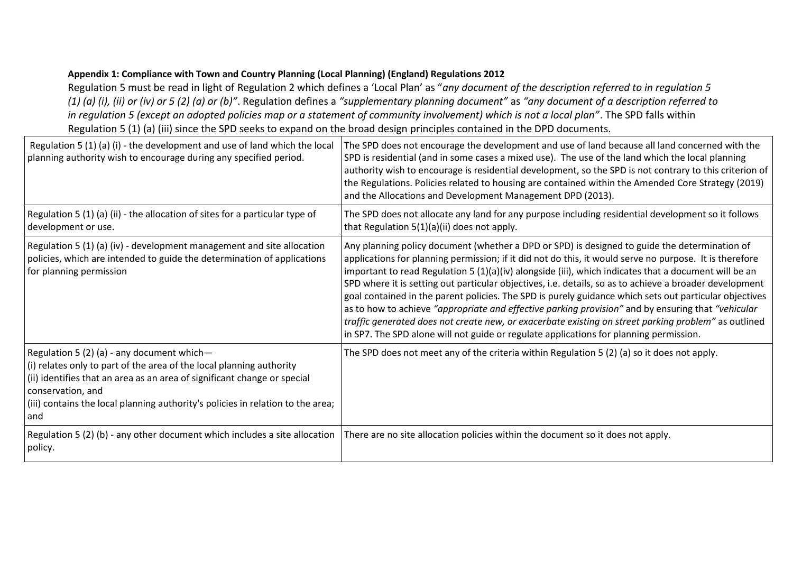## **Appendix 1: Compliance with Town and Country Planning (Local Planning) (England) Regulations 2012**

Regulation 5 must be read in light of Regulation 2 which defines a 'Local Plan' as "*any document of the description referred to in regulation 5 (1) (a) (i), (ii) or (iv) or 5 (2) (a) or (b)"*. Regulation defines a *"supplementary planning document"* as *"any document of a description referred to in regulation 5 (except an adopted policies map or a statement of community involvement) which is not a local plan"*. The SPD falls within Regulation 5 (1) (a) (iii) since the SPD seeks to expand on the broad design principles contained in the DPD documents.

| Regulation 5 (1) (a) (i) - the development and use of land which the local<br>planning authority wish to encourage during any specified period.                                                                                                                                                               | The SPD does not encourage the development and use of land because all land concerned with the<br>SPD is residential (and in some cases a mixed use). The use of the land which the local planning<br>authority wish to encourage is residential development, so the SPD is not contrary to this criterion of<br>the Regulations. Policies related to housing are contained within the Amended Core Strategy (2019)<br>and the Allocations and Development Management DPD (2013).                                                                                                                                                                                                                                                                                                                                                                |
|---------------------------------------------------------------------------------------------------------------------------------------------------------------------------------------------------------------------------------------------------------------------------------------------------------------|--------------------------------------------------------------------------------------------------------------------------------------------------------------------------------------------------------------------------------------------------------------------------------------------------------------------------------------------------------------------------------------------------------------------------------------------------------------------------------------------------------------------------------------------------------------------------------------------------------------------------------------------------------------------------------------------------------------------------------------------------------------------------------------------------------------------------------------------------|
| Regulation 5 (1) (a) (ii) - the allocation of sites for a particular type of<br>development or use.                                                                                                                                                                                                           | The SPD does not allocate any land for any purpose including residential development so it follows<br>that Regulation 5(1)(a)(ii) does not apply.                                                                                                                                                                                                                                                                                                                                                                                                                                                                                                                                                                                                                                                                                                |
| Regulation 5 (1) (a) (iv) - development management and site allocation<br>policies, which are intended to guide the determination of applications<br>for planning permission                                                                                                                                  | Any planning policy document (whether a DPD or SPD) is designed to guide the determination of<br>applications for planning permission; if it did not do this, it would serve no purpose. It is therefore<br>important to read Regulation 5 $(1)(a)(iv)$ alongside (iii), which indicates that a document will be an<br>SPD where it is setting out particular objectives, i.e. details, so as to achieve a broader development<br>goal contained in the parent policies. The SPD is purely guidance which sets out particular objectives<br>as to how to achieve "appropriate and effective parking provision" and by ensuring that "vehicular<br>traffic generated does not create new, or exacerbate existing on street parking problem" as outlined<br>in SP7. The SPD alone will not guide or regulate applications for planning permission. |
| Regulation 5 (2) (a) - any document which-<br>(i) relates only to part of the area of the local planning authority<br>(ii) identifies that an area as an area of significant change or special<br>conservation, and<br>(iii) contains the local planning authority's policies in relation to the area;<br>and | The SPD does not meet any of the criteria within Regulation 5 (2) (a) so it does not apply.                                                                                                                                                                                                                                                                                                                                                                                                                                                                                                                                                                                                                                                                                                                                                      |
| Regulation 5 (2) (b) - any other document which includes a site allocation<br>policy.                                                                                                                                                                                                                         | There are no site allocation policies within the document so it does not apply.                                                                                                                                                                                                                                                                                                                                                                                                                                                                                                                                                                                                                                                                                                                                                                  |